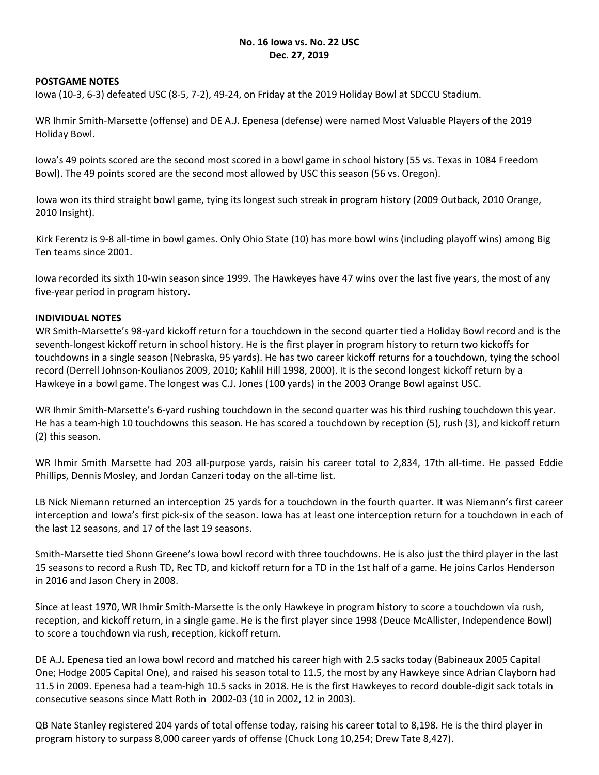#### **No. 16 Iowa vs. No. 22 USC Dec. 27, 2019**

#### **POSTGAME NOTES**

Iowa (10‐3, 6‐3) defeated USC (8‐5, 7‐2), 49‐24, on Friday at the 2019 Holiday Bowl at SDCCU Stadium.

WR Ihmir Smith‐Marsette (offense) and DE A.J. Epenesa (defense) were named Most Valuable Players of the 2019 Holiday Bowl.

Iowa's 49 points scored are the second most scored in a bowl game in school history (55 vs. Texas in 1084 Freedom Bowl). The 49 points scored are the second most allowed by USC this season (56 vs. Oregon).

Iowa won its third straight bowl game, tying its longest such streak in program history (2009 Outback, 2010 Orange, 2010 Insight).

Kirk Ferentz is 9‐8 all‐time in bowl games. Only Ohio State (10) has more bowl wins (including playoff wins) among Big Ten teams since 2001.

Iowa recorded its sixth 10-win season since 1999. The Hawkeyes have 47 wins over the last five years, the most of any five‐year period in program history.

#### **INDIVIDUAL NOTES**

WR Smith‐Marsette's 98‐yard kickoff return for a touchdown in the second quarter tied a Holiday Bowl record and is the seventh-longest kickoff return in school history. He is the first player in program history to return two kickoffs for touchdowns in a single season (Nebraska, 95 yards). He has two career kickoff returns for a touchdown, tying the school record (Derrell Johnson‐Koulianos 2009, 2010; Kahlil Hill 1998, 2000). It is the second longest kickoff return by a Hawkeye in a bowl game. The longest was C.J. Jones (100 yards) in the 2003 Orange Bowl against USC.

WR Ihmir Smith–Marsette's 6-yard rushing touchdown in the second quarter was his third rushing touchdown this year. He has a team-high 10 touchdowns this season. He has scored a touchdown by reception (5), rush (3), and kickoff return (2) this season.

WR Ihmir Smith Marsette had 203 all-purpose yards, raisin his career total to 2,834, 17th all-time. He passed Eddie Phillips, Dennis Mosley, and Jordan Canzeri today on the all‐time list.

LB Nick Niemann returned an interception 25 yards for a touchdown in the fourth quarter. It was Niemann's first career interception and Iowa's first pick‐six of the season. Iowa has at least one interception return for a touchdown in each of the last 12 seasons, and 17 of the last 19 seasons.

Smith‐Marsette tied Shonn Greene's Iowa bowl record with three touchdowns. He is also just the third player in the last 15 seasons to record a Rush TD, Rec TD, and kickoff return for a TD in the 1st half of a game. He joins Carlos Henderson in 2016 and Jason Chery in 2008.

Since at least 1970, WR Ihmir Smith‐Marsette is the only Hawkeye in program history to score a touchdown via rush, reception, and kickoff return, in a single game. He is the first player since 1998 (Deuce McAllister, Independence Bowl) to score a touchdown via rush, reception, kickoff return.

DE A.J. Epenesa tied an Iowa bowl record and matched his career high with 2.5 sacks today (Babineaux 2005 Capital One; Hodge 2005 Capital One), and raised his season total to 11.5, the most by any Hawkeye since Adrian Clayborn had 11.5 in 2009. Epenesa had a team‐high 10.5 sacks in 2018. He is the first Hawkeyes to record double‐digit sack totals in consecutive seasons since Matt Roth in 2002‐03 (10 in 2002, 12 in 2003).

QB Nate Stanley registered 204 yards of total offense today, raising his career total to 8,198. He is the third player in program history to surpass 8,000 career yards of offense (Chuck Long 10,254; Drew Tate 8,427).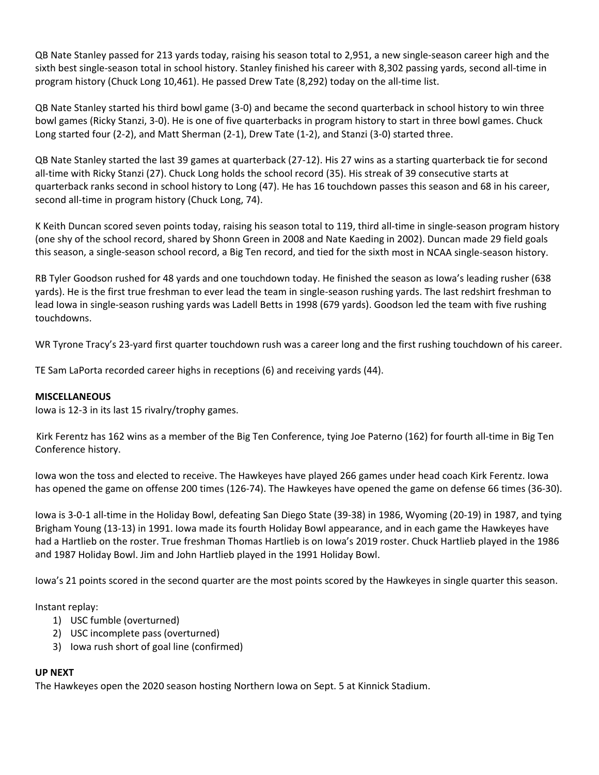QB Nate Stanley passed for 213 yards today, raising his season total to 2,951, a new single‐season career high and the sixth best single-season total in school history. Stanley finished his career with 8,302 passing yards, second all-time in program history (Chuck Long 10,461). He passed Drew Tate (8,292) today on the all‐time list.

QB Nate Stanley started his third bowl game (3‐0) and became the second quarterback in school history to win three bowl games (Ricky Stanzi, 3‐0). He is one of five quarterbacks in program history to start in three bowl games. Chuck Long started four (2‐2), and Matt Sherman (2‐1), Drew Tate (1‐2), and Stanzi (3‐0) started three.

QB Nate Stanley started the last 39 games at quarterback (27‐12). His 27 wins as a starting quarterback tie for second all-time with Ricky Stanzi (27). Chuck Long holds the school record (35). His streak of 39 consecutive starts at quarterback ranks second in school history to Long (47). He has 16 touchdown passes this season and 68 in his career, second all-time in program history (Chuck Long, 74).

K Keith Duncan scored seven points today, raising his season total to 119, third all-time in single-season program history (one shy of the school record, shared by Shonn Green in 2008 and Nate Kaeding in 2002). Duncan made 29 field goals this season, a single‐season school record, a Big Ten record, and tied for the sixth most in NCAA single‐season history.

RB Tyler Goodson rushed for 48 yards and one touchdown today. He finished the season as Iowa's leading rusher (638 yards). He is the first true freshman to ever lead the team in single‐season rushing yards. The last redshirt freshman to lead Iowa in single‐season rushing yards was Ladell Betts in 1998 (679 yards). Goodson led the team with five rushing touchdowns.

WR Tyrone Tracy's 23-yard first quarter touchdown rush was a career long and the first rushing touchdown of his career.

TE Sam LaPorta recorded career highs in receptions (6) and receiving yards (44).

#### **MISCELLANEOUS**

Iowa is 12‐3 in its last 15 rivalry/trophy games.

Kirk Ferentz has 162 wins as a member of the Big Ten Conference, tying Joe Paterno (162) for fourth all‐time in Big Ten Conference history.

Iowa won the toss and elected to receive. The Hawkeyes have played 266 games under head coach Kirk Ferentz. Iowa has opened the game on offense 200 times (126‐74). The Hawkeyes have opened the game on defense 66 times (36‐30).

Iowa is 3‐0‐1 all‐time in the Holiday Bowl, defeating San Diego State (39‐38) in 1986, Wyoming (20‐19) in 1987, and tying Brigham Young (13‐13) in 1991. Iowa made its fourth Holiday Bowl appearance, and in each game the Hawkeyes have had a Hartlieb on the roster. True freshman Thomas Hartlieb is on Iowa's 2019 roster. Chuck Hartlieb played in the 1986 and 1987 Holiday Bowl. Jim and John Hartlieb played in the 1991 Holiday Bowl.

Iowa's 21 points scored in the second quarter are the most points scored by the Hawkeyes in single quarter this season.

Instant replay:

- 1) USC fumble (overturned)
- 2) USC incomplete pass (overturned)
- 3) Iowa rush short of goal line (confirmed)

#### **UP NEXT**

The Hawkeyes open the 2020 season hosting Northern Iowa on Sept. 5 at Kinnick Stadium.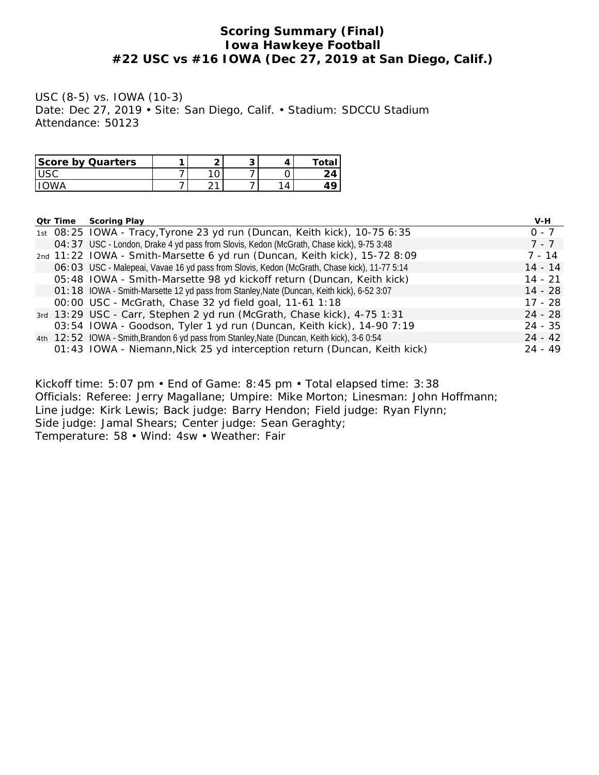## **Scoring Summary (Final) Iowa Hawkeye Football #22 USC vs #16 IOWA (Dec 27, 2019 at San Diego, Calif.)**

USC (8-5) vs. IOWA (10-3) Date: Dec 27, 2019 • Site: San Diego, Calif. • Stadium: SDCCU Stadium Attendance: 50123

| Score by Quarters | ⌒ | ∼ |                          |                |
|-------------------|---|---|--------------------------|----------------|
|                   | ັ |   |                          | $\overline{ }$ |
|                   |   |   | $\overline{\phantom{a}}$ |                |

| Qtr Time | Scoring Play                                                                                 | V-H       |
|----------|----------------------------------------------------------------------------------------------|-----------|
|          | 1st 08:25 IOWA - Tracy, Tyrone 23 yd run (Duncan, Keith kick), 10-75 6:35                    | $0 - 7$   |
|          | O4: 37 USC - London, Drake 4 yd pass from Slovis, Kedon (McGrath, Chase kick), 9-75 3:48     | $7 - 7$   |
|          | 2nd 11:22 IOWA - Smith-Marsette 6 yd run (Duncan, Keith kick), 15-72 8:09                    | 7 - 14    |
|          | O6: O3 USC - Malepeai, Vavae 16 yd pass from Slovis, Kedon (McGrath, Chase kick), 11-77 5:14 | $14 - 14$ |
|          | 05:48 IOWA - Smith-Marsette 98 yd kickoff return (Duncan, Keith kick)                        | $14 - 21$ |
|          | O1:18 IOWA - Smith-Marsette 12 yd pass from Stanley, Nate (Duncan, Keith kick), 6-52 3:07    | 14 - 28   |
|          | 00:00 USC - McGrath, Chase 32 yd field goal, 11-61 1:18                                      | $17 - 28$ |
|          | 3rd 13:29 USC - Carr, Stephen 2 yd run (McGrath, Chase kick), 4-75 1:31                      | $24 - 28$ |
|          | 03:54 IOWA - Goodson, Tyler 1 yd run (Duncan, Keith kick), 14-90 7:19                        | $24 - 35$ |
|          | 4th 12:52 IOWA - Smith, Brandon 6 yd pass from Stanley, Nate (Duncan, Keith kick), 3-6 0:54  | $24 - 42$ |
|          | 01:43 IOWA - Niemann, Nick 25 yd interception return (Duncan, Keith kick)                    | $24 - 49$ |

Kickoff time: 5:07 pm • End of Game: 8:45 pm • Total elapsed time: 3:38 Officials: Referee: Jerry Magallane; Umpire: Mike Morton; Linesman: John Hoffmann; Line judge: Kirk Lewis; Back judge: Barry Hendon; Field judge: Ryan Flynn; Side judge: Jamal Shears; Center judge: Sean Geraghty; Temperature: 58 • Wind: 4sw • Weather: Fair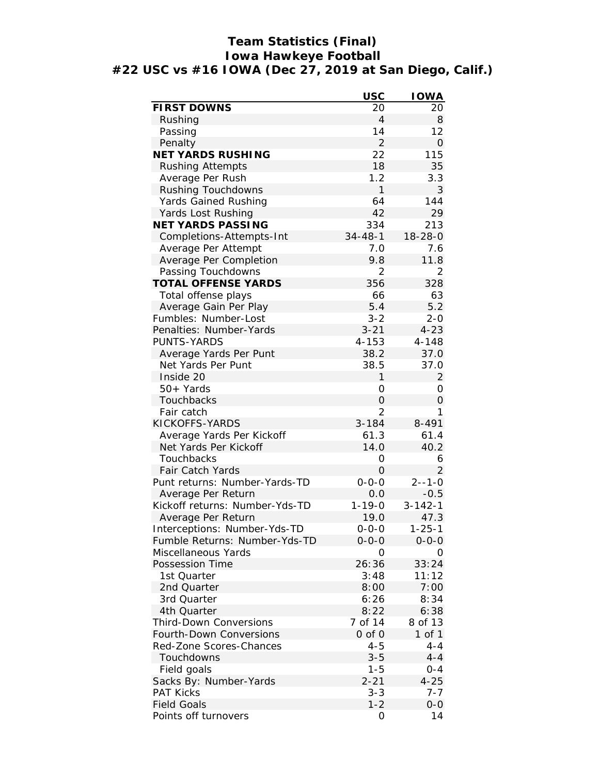# **Team Statistics (Final) Iowa Hawkeye Football #22 USC vs #16 IOWA (Dec 27, 2019 at San Diego, Calif.)**

|                                | <b>USC</b>     | <b>IOWA</b>    |
|--------------------------------|----------------|----------------|
| FIRST DOWNS                    | 20             | 20             |
| Rushing                        | $\overline{4}$ | 8              |
| Passing                        | 14             | 12             |
| Penalty                        | $\overline{2}$ | $\Omega$       |
| <b>NET YARDS RUSHING</b>       | 22             | 115            |
| <b>Rushing Attempts</b>        | 18             | 35             |
| Average Per Rush               | 1.2            | 3.3            |
| Rushing Touchdowns             | 1              | 3              |
| Yards Gained Rushing           | 64             | 144            |
| Yards Lost Rushing             | 42             | 29             |
| NET YARDS PASSING              | 334            | 213            |
| Completions-Attempts-Int       | $34 - 48 - 1$  | $18 - 28 - 0$  |
| Average Per Attempt            | 7.0            | 7.6            |
| Average Per Completion         | 9.8            | 11.8           |
| Passing Touchdowns             | 2              | $\overline{2}$ |
| TOTAL OFFENSE YARDS            | 356            | 328            |
| Total offense plays            | 66             | 63             |
| Average Gain Per Play          | 5.4            | 5.2            |
| Fumbles: Number-Lost           | $3 - 2$        | $2 - 0$        |
| Penalties: Number-Yards        | $3 - 21$       | $4 - 23$       |
| PUNTS-YARDS                    | $4 - 153$      | $4 - 148$      |
| Average Yards Per Punt         | 38.2           | 37.0           |
| Net Yards Per Punt             | 38.5           | 37.0           |
| Inside 20                      | 1              | 2              |
| 50+ Yards                      | 0              | 0              |
| Touchbacks                     | 0              | $\Omega$       |
| Fair catch                     | $\overline{2}$ | 1              |
| KICKOFFS-YARDS                 | $3 - 184$      | 8-491          |
| Average Yards Per Kickoff      | 61.3           | 61.4           |
| Net Yards Per Kickoff          | 14.0           | 40.2           |
| Touchbacks                     | 0              | 6              |
| Fair Catch Yards               | 0              | 2              |
| Punt returns: Number-Yards-TD  | $0 - 0 - 0$    | $2 - - 1 - 0$  |
| Average Per Return             | 0.0            | $-0.5$         |
| Kickoff returns: Number-Yds-TD | $1 - 19 - 0$   | $3 - 142 - 1$  |
| Average Per Return             | 19.0           | 47.3           |
| Interceptions: Number-Yds-TD   | $0 - 0 - 0$    | $1 - 25 - 1$   |
| Fumble Returns: Number-Yds-TD  | $0 - 0 - 0$    | $0 - 0 - 0$    |
| Miscellaneous Yards            | 0              | O              |
| Possession Time                | 26:36          | 33:24          |
| 1st Quarter                    | 3:48           | 11:12          |
| 2nd Quarter                    | 8:00           | 7:00           |
| 3rd Quarter                    | 6:26           | 8:34           |
| 4th Quarter                    | 8:22           | 6:38           |
| Third-Down Conversions         | 7 of 14        | 8 of 13        |
| Fourth-Down Conversions        | 0 of 0         | 1 of 1         |
| Red-Zone Scores-Chances        | $4 - 5$        | $4 - 4$        |
| Touchdowns                     | $3 - 5$        | $4 - 4$        |
| Field goals                    | $1 - 5$        | $0 - 4$        |
| Sacks By: Number-Yards         | $2 - 21$       | $4 - 25$       |
| <b>PAT Kicks</b>               | $3 - 3$        | 7-7            |
| <b>Field Goals</b>             | $1 - 2$        | $O-O$          |
| Points off turnovers           | 0              | 14             |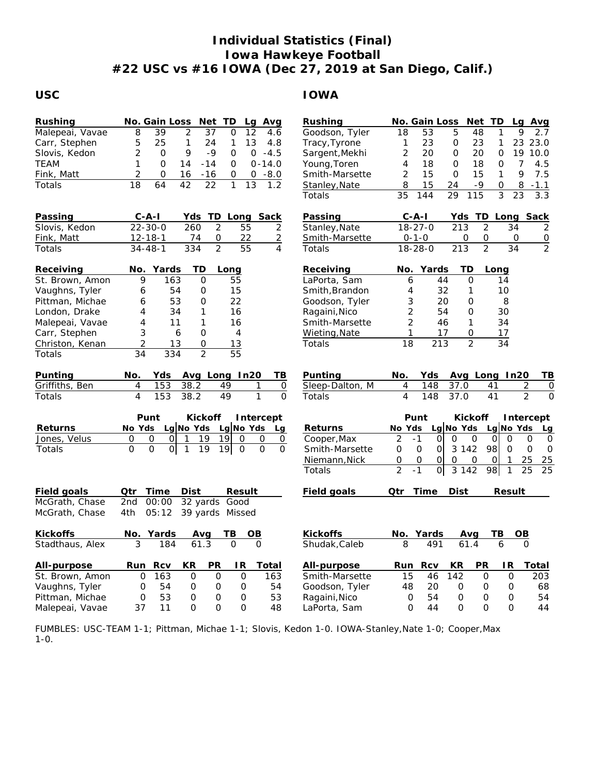# **Individual Statistics (Final) Iowa Hawkeye Football #22 USC vs #16 IOWA (Dec 27, 2019 at San Diego, Calif.)**

## **USC IOWA**

| Rushing         | No. Gain Loss<br>Net TD<br>Lg Avg                                                                                           | Rushing         | No. Gain Loss<br>Net TD<br>Lg Avg                                                                |
|-----------------|-----------------------------------------------------------------------------------------------------------------------------|-----------------|--------------------------------------------------------------------------------------------------|
| Malepeai, Vavae | $\overline{2}$<br>8<br>39<br>37<br>12<br>O<br>4.6                                                                           | Goodson, Tyler  | 18<br>53<br>5<br>48<br>2.7<br>1<br>9                                                             |
| Carr, Stephen   | 5<br>$\mathbf{1}$<br>13<br>25<br>24<br>4.8<br>1                                                                             | Tracy, Tyrone   | 23 23.0<br>23<br>$\mathbf{O}$<br>23<br>1<br>1                                                    |
| Slovis, Kedon   | $\overline{2}$<br>9<br>$-9$<br>$0 - 4.5$<br>$\mathbf 0$<br>0                                                                | Sargent, Mekhi  | $\overline{2}$<br>20<br>20<br>19 10.0<br>0<br>$\circ$                                            |
| TEAM            | 1<br>$\mathbf 0$<br>14<br>$-14$<br>0<br>$0 - 14.0$                                                                          | Young, Toren    | 4<br>$\overline{7}$<br>18<br>$\Omega$<br>18<br>$\circ$<br>4.5                                    |
| Fink, Matt      | $\overline{2}$<br>$\mathbf 0$<br>16<br>$-16$<br>0<br>0<br>$-8.0$                                                            | Smith-Marsette  | 9<br>7.5<br>$\overline{2}$<br>15<br>$\mathsf{O}\xspace$<br>15<br>$\mathbf{1}$                    |
| Totals          | 18<br>42<br>22<br>64<br>$\mathbf{1}$<br>13<br>1.2                                                                           | Stanley, Nate   | 8<br>24<br>$-9$<br>$\mathbf{O}$<br>15<br>8<br>$-1.1$                                             |
|                 |                                                                                                                             | Totals          | $\overline{3}$<br>35<br>144<br>$\overline{29}$<br>115<br>$\overline{23}$<br>$3.\overline{3}$     |
| Passing         | $C - A - I$<br>Yds TD Long<br>Sack                                                                                          | Passing         | $C - A - I$<br>Yds TD Long<br>Sack                                                               |
| Slovis, Kedon   | 260<br>2<br>$22 - 30 - 0$<br>55<br>2                                                                                        | Stanley, Nate   | $\overline{2}$<br>$18 - 27 - 0$<br>213<br>34<br>2                                                |
| Fink, Matt      | $12 - 18 - 1$<br>$\mathsf O$<br>22<br>$\overline{2}$<br>74                                                                  | Smith-Marsette  | $0 - 1 - 0$<br>0<br>0<br>0<br>$\overline{0}$                                                     |
| Totals          | $\overline{2}$<br>$\overline{55}$<br>$\overline{4}$<br>$34 - 48 - 1$<br>334                                                 | Totals          | $\overline{2}$<br>$\overline{2}$<br>$18 - 28 - 0$<br>$\overline{213}$<br>$\overline{34}$         |
| Receiving       | No. Yards<br>TD<br>Long                                                                                                     | Receiving       | TD<br>Yards<br>No.<br>Long                                                                       |
| St. Brown, Amon | 9<br>163<br>$\Omega$<br>55                                                                                                  | LaPorta, Sam    | 6<br>44<br>$\Omega$<br>14                                                                        |
| Vaughns, Tyler  | 6<br>54<br>O<br>15                                                                                                          | Smith, Brandon  | 4<br>32<br>10<br>1                                                                               |
| Pittman, Michae | 22<br>53<br>6<br>0                                                                                                          | Goodson, Tyler  | 3<br>20<br>$\mathbf 0$<br>8                                                                      |
| London, Drake   | 4<br>34<br>$\mathbf{1}$<br>16                                                                                               | Ragaini, Nico   | $\overline{2}$<br>54<br>$\overline{O}$<br>30                                                     |
| Malepeai, Vavae | 11<br>16<br>4<br>1                                                                                                          | Smith-Marsette  | $\overline{2}$<br>34<br>46<br>1                                                                  |
| Carr, Stephen   | 3<br>6<br>O<br>4                                                                                                            | Wieting, Nate   | $\mathbf{1}$<br>17<br>$\Omega$<br>17                                                             |
| Christon, Kenan | $\overline{2}$<br>13<br>13<br>0                                                                                             | Totals          | $\overline{18}$<br>$\overline{213}$<br>$\overline{2}$<br>$\overline{34}$                         |
| Totals          | $\overline{2}$<br>$\overline{55}$<br>34<br>334                                                                              |                 |                                                                                                  |
| Punting         | Yds<br>Avg Long In20<br>No.<br>TВ                                                                                           | Punting         | No.<br>Yds<br>Avg Long In20<br>ΤB                                                                |
| Griffiths, Ben  | $\overline{4}$<br>153<br>38.2<br>49<br>1<br>0                                                                               | Sleep-Dalton, M | $\overline{4}$<br>148<br>2<br>37.0<br>41<br>$\mathbf 0$                                          |
| Totals          | 153<br>49<br>$\mathbf{1}$<br>$\overline{4}$<br>38.2<br>$\Omega$                                                             | Totals          | 4<br>$\overline{2}$<br>$\overline{0}$<br>148<br>37.0<br>41                                       |
|                 | Punt<br>Kickoff<br>Intercept                                                                                                |                 | Punt<br>Kickoff<br>Intercept                                                                     |
| Returns         | $Lg$ No Yds<br>No Yds<br>Lg No Yds<br>Lq                                                                                    | Returns         | $Lg$ No Yds<br>No Yds<br>Lg $No$ Yds<br>Lg                                                       |
| Jones, Velus    | 19<br>0<br>0<br>$\overline{O}$<br>$\overline{1}$<br>19<br>$\mathbf{O}$<br>0<br>0                                            | Cooper, Max     | $\overline{2}$<br>$-1$<br>$\Omega$<br>$\Omega$<br>$\Omega$<br>0<br>$\Omega$<br>0<br>$\mathbf{O}$ |
| Totals          | $\mathbf 0$<br>$\mathsf{O}$<br>$\overline{O}$<br>$\mathbf{1}$<br>19<br>19<br>$\overline{O}$<br>$\mathsf{O}$<br>$\mathsf{O}$ | Smith-Marsette  | 3 142<br>98<br>$\mathbf 0$<br>0<br>$\mathbf{O}$<br>$\Omega$<br>$\mathbf 0$<br>O                  |
|                 |                                                                                                                             | Niemann, Nick   | $\overline{O}$<br>$\Omega$<br>25<br>25<br>O<br>0<br>$\mathbf 0$<br>$\circ$<br>$\mathbf{1}$       |
|                 |                                                                                                                             | Totals          | $\overline{2}$<br>$-1$<br>$\overline{0}$<br>3 1 4 2<br>98<br>25<br>25<br>$\mathbf{1}$            |
| Field goals     | Qtr<br>Time<br>Dist<br>Result                                                                                               | Field goals     | Time<br>Dist<br>Qtr<br>Result                                                                    |
| McGrath, Chase  | 2nd<br>00:00<br>32 yards<br>Good                                                                                            |                 |                                                                                                  |
| McGrath, Chase  | 4th<br>05:12<br>39 yards Missed                                                                                             |                 |                                                                                                  |
| Kickoffs        | No.<br>Yards<br>TВ<br>OВ<br>Avg                                                                                             | Kickoffs        | No. Yards<br>TВ<br>$\overline{OB}$<br>Avg                                                        |
| Stadthaus, Alex | 61.3<br>3<br>184<br>$\mathbf 0$<br>$\Omega$                                                                                 | Shudak, Caleb   | 491<br>61.4<br>6<br>$\Omega$<br>8                                                                |
| All-purpose     | Rcv<br>KR<br>PR<br><u>Run</u><br>IR.<br>Total                                                                               | All-purpose     | PR<br>Run<br>Rcv<br>KR<br>IR.<br>Total                                                           |
| St. Brown, Amon | 163<br>$\mathsf O$<br>$\Omega$<br>163<br>0<br>0                                                                             | Smith-Marsette  | 15<br>46<br>142<br>$\mathsf{O}\xspace$<br>$\mathsf{O}\xspace$<br>203                             |
| Vaughns, Tyler  | 0<br>54<br>0<br>0<br>54<br>0                                                                                                | Goodson, Tyler  | 48<br>20<br>$\circ$<br>$\circ$<br>0<br>68                                                        |
| Pittman, Michae | 53<br>53<br>0<br>0<br>0<br>0                                                                                                | Ragaini, Nico   | $\Omega$<br>$\mathbf 0$<br>54<br>0<br>0<br>54                                                    |
| Malepeai, Vavae | 11<br>0<br>$\Omega$<br>$\Omega$<br>48<br>37                                                                                 | LaPorta, Sam    | $\Omega$<br>$\Omega$<br>$\Omega$<br>44<br>$\Omega$<br>44                                         |

FUMBLES: USC-TEAM 1-1; Pittman, Michae 1-1; Slovis, Kedon 1-0. IOWA-Stanley,Nate 1-0; Cooper,Max 1-0.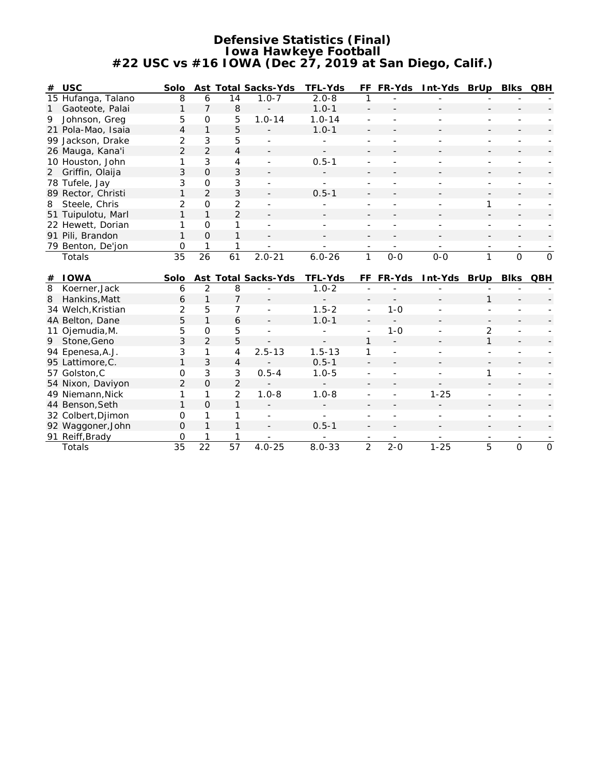#### **Defensive Statistics (Final) Iowa Hawkeye Football #22 USC vs #16 IOWA (Dec 27, 2019 at San Diego, Calif.)**

| #            | <b>USC</b>                           | Solo           |                     |                 | Ast Total Sacks-Yds | TFL-Yds                  |                | FF FR-Yds | Int-Yds BrUp |                | Blks           | QBH          |
|--------------|--------------------------------------|----------------|---------------------|-----------------|---------------------|--------------------------|----------------|-----------|--------------|----------------|----------------|--------------|
|              | 15 Hufanga, Talano                   | 8              | 6                   | 14              | $1.0 - 7$           | $2.0 - 8$                | 1              |           |              |                |                |              |
| $\mathbf{1}$ | Gaoteote, Palai                      | 1              | $\overline{7}$      | 8               |                     | $1.0 - 1$                | $\frac{1}{2}$  |           |              |                |                |              |
| 9            | Johnson, Greg                        | 5              | $\Omega$            | 5               | $1.0 - 14$          | $1.0 - 14$               |                |           |              |                |                |              |
|              | 21 Pola-Mao, Isaia                   | $\overline{4}$ | $\mathbf{1}$        | 5               |                     | $1.0 - 1$                |                |           |              |                |                |              |
|              | 99 Jackson, Drake                    | $\overline{2}$ | 3                   | 5               |                     |                          |                |           |              |                |                |              |
|              | 26 Mauga, Kana'i                     | $\overline{2}$ | $\overline{2}$      | $\overline{4}$  |                     | $\overline{\phantom{a}}$ |                |           |              |                |                |              |
|              | 10 Houston, John                     | 1              | $\mathfrak{Z}$      | 4               |                     | $0.5 - 1$                |                |           |              |                |                |              |
| 2            | Griffin, Olaija                      | 3              | $\overline{O}$      | 3               |                     |                          |                |           |              |                |                |              |
|              | 78 Tufele, Jay                       | 3              | $\mathsf{O}\xspace$ | 3               |                     |                          |                |           |              |                |                |              |
|              | 89 Rector, Christi                   | 1              | $\overline{2}$      | 3               |                     | $0.5 - 1$                |                |           |              |                |                |              |
| 8            | Steele, Chris                        | 2              | O                   | $\overline{2}$  |                     |                          |                |           |              | 1              |                |              |
|              | 51 Tuipulotu, Marl                   | 1              | $\mathbf{1}$        | $\overline{2}$  |                     |                          |                |           |              |                |                |              |
|              | 22 Hewett, Dorian                    | 1              | O                   | 1               |                     |                          |                |           |              |                |                |              |
|              | 91 Pili, Brandon                     | $\mathbf{1}$   | $\Omega$            | $\mathbf{1}$    |                     |                          |                |           |              |                |                |              |
|              | 79 Benton, De'jon                    | O              |                     | 1               |                     |                          |                |           |              |                |                |              |
|              | Totals                               | 35             | 26                  | 61              | $2.0 - 21$          | $6.0 - 26$               | $\mathbf{1}$   | $0 - 0$   | $0 - 0$      | $\mathbf{1}$   | $\Omega$       | $\Omega$     |
|              |                                      |                |                     |                 |                     |                          |                |           |              |                |                |              |
|              |                                      |                |                     |                 |                     |                          |                |           |              |                |                |              |
| #            | <b>IOWA</b>                          | Solo           |                     |                 | Ast Total Sacks-Yds | TFL-Yds                  |                | FF FR-Yds | Int-Yds BrUp |                | <b>Blks</b>    | QBH          |
| 8            | Koerner, Jack                        | 6              | 2                   | 8               |                     | $1.0 - 2$                |                |           |              |                |                |              |
| 8            | Hankins, Matt                        | 6              | $\mathbf{1}$        | $\overline{7}$  |                     |                          |                |           |              | 1              |                |              |
|              | 34 Welch, Kristian                   | 2              | 5                   | 7               |                     | $1.5 - 2$                | $\overline{a}$ | $1 - 0$   |              |                |                |              |
|              | 4A Belton, Dane                      | 5              | $\mathbf{1}$        | 6               |                     | $1.0 - 1$                |                |           |              |                |                |              |
|              | 11 Ojemudia, M.                      | 5              | $\Omega$            | 5               |                     |                          | $\overline{a}$ | $1 - 0$   |              | $\overline{2}$ |                |              |
|              | 9 Stone, Geno                        | 3              | $\overline{2}$      | 5               |                     |                          | $\mathbf{1}$   |           |              | $\mathbf{1}$   |                |              |
|              | 94 Epenesa, A.J.                     | 3              | 1                   | $\overline{4}$  | $2.5 - 13$          | $1.5 - 13$               | 1              |           |              |                |                |              |
|              | 95 Lattimore, C.                     | 1              | 3                   | $\overline{4}$  |                     | $0.5 - 1$                |                |           |              |                |                |              |
|              | 57 Golston, C                        | 0              | 3                   | $\mathfrak{Z}$  | $0.5 - 4$           | $1.0 - 5$                |                |           |              | 1              |                |              |
|              | 54 Nixon, Daviyon                    | $\overline{2}$ | $\Omega$            | $\overline{2}$  |                     |                          |                |           |              |                |                |              |
|              | 49 Niemann, Nick                     | 1              | 1                   | $\overline{2}$  | $1.0 - 8$           | $1.0 - 8$                |                |           | $1 - 25$     |                |                |              |
|              | 44 Benson, Seth                      | $\mathbf{1}$   | $\Omega$            | 1               |                     |                          |                |           |              |                |                |              |
|              | 32 Colbert, Djimon                   | 0              | 1                   | 1               |                     |                          |                |           |              |                |                |              |
|              |                                      | $\Omega$       | $\mathbf{1}$        | $\mathbf{1}$    |                     | $0.5 - 1$                |                |           |              |                |                |              |
|              | 92 Waggoner, John<br>91 Reiff, Brady | 0              |                     | 1               |                     |                          |                |           |              |                |                |              |
|              | Totals                               | 35             | 22                  | $\overline{57}$ | $4.0 - 25$          | $8.0 - 33$               | $\overline{2}$ | $2 - 0$   | $1 - 25$     | 5              | $\overline{O}$ | $\mathbf{O}$ |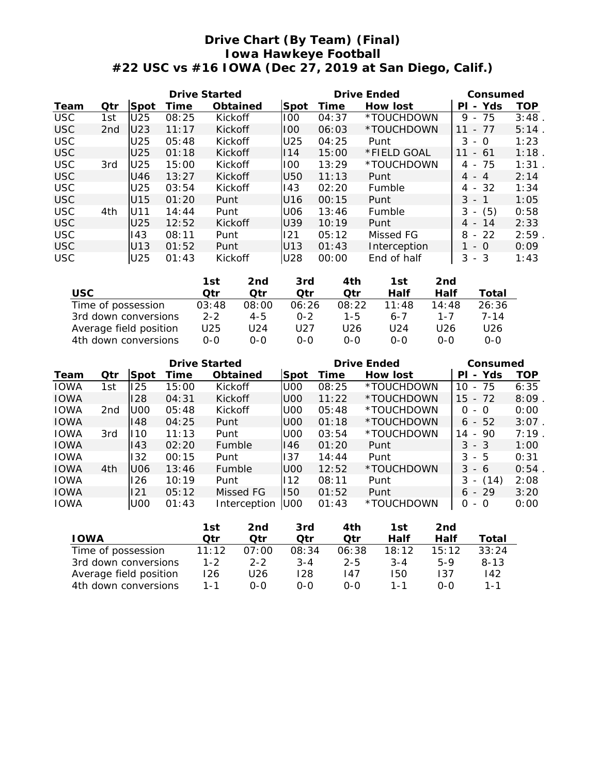## **Drive Chart (By Team) (Final) Iowa Hawkeye Football #22 USC vs #16 IOWA (Dec 27, 2019 at San Diego, Calif.)**

|            |                 | Drive Started   |       |          |      |       | Drive Ended  | Consumed                              |            |
|------------|-----------------|-----------------|-------|----------|------|-------|--------------|---------------------------------------|------------|
| Team       | Qtr             | Spot            | Time  | Obtained | Spot | Time  | How lost     | Yds<br>PI<br>$\overline{\phantom{0}}$ | <b>TOP</b> |
| <b>USC</b> | 1st             | U25             | 08:25 | Kickoff  | 100  | 04:37 | *TOUCHDOWN   | 75<br>9<br>$\equiv$                   | 3:48       |
| <b>USC</b> | 2 <sub>nd</sub> | U <sub>23</sub> | 11:17 | Kickoff  | 1100 | 06:03 | *TOUCHDOWN   | -77<br>11<br>$\overline{\phantom{a}}$ | 5:14       |
| <b>USC</b> |                 | U25             | 05:48 | Kickoff  | U25  | 04:25 | Punt         | 3<br>- 0                              | 1:23       |
| <b>USC</b> |                 | U25             | 01:18 | Kickoff  | 114  | 15:00 | *FIELD GOAL  | - 61<br>11                            | 1:18       |
| <b>USC</b> | 3rd             | U <sub>25</sub> | 15:00 | Kickoff  | 100  | 13:29 | *TOUCHDOWN   | -75<br>4 -                            | 1:31       |
| <b>USC</b> |                 | U46             | 13:27 | Kickoff  | U50  | 11:13 | Punt         | $4 - 4$                               | 2:14       |
| <b>USC</b> |                 | U25             | 03:54 | Kickoff  | 143  | 02:20 | Fumble       | -32<br>4 -                            | 1:34       |
| <b>USC</b> |                 | U15             | 01:20 | Punt     | U16  | 00:15 | Punt         | $3 - 1$                               | 1:05       |
| <b>USC</b> | 4th             | U11             | 14:44 | Punt     | U06  | 13:46 | Fumble       | (5)<br>3<br>$\overline{\phantom{a}}$  | 0:58       |
| <b>USC</b> |                 | U25             | 12:52 | Kickoff  | U39  | 10:19 | Punt         | -14<br>4 -                            | 2:33       |
| <b>USC</b> |                 | 143             | 08:11 | Punt     | 121  | 05:12 | Missed FG    | 8<br>$-22$                            | 2:59       |
| <b>USC</b> |                 | U13             | 01:52 | Punt     | U13  | 01:43 | Interception | - 0                                   | 0:09       |
| <b>USC</b> |                 | U25             | 01:43 | Kickoff  | U28  | 00:00 | End of half  | 3<br>- 3                              | 1:43       |

|                        | 1st     | 2nd     | 3rd     | 4th   | 1st   | 2nd     |       |
|------------------------|---------|---------|---------|-------|-------|---------|-------|
| USC.                   | ∩tr     | ∩tr     | ∩tr     | ∩tr   | Half  | Half    | Total |
| Time of possession     | 03:48   | 08:00   | 06:26   | 08:22 | 11:48 | 14:48   | 26:36 |
| 3rd down conversions   | $2 - 2$ | $4 - 5$ | $0 - 2$ | 1-5   | 6-7   | $1 - 7$ | 7-14  |
| Average field position | U25     | U24     | U27     | U26   | U24   | U26     | U26   |
| 4th down conversions   | $O-O$   | റ-റ     | $O-O$   | $O-O$ | $O-O$ | 0-0     | 0-0   |

|             |                 |                 | Drive Started |               |                 |       | Drive Ended | Consumed                              |      |
|-------------|-----------------|-----------------|---------------|---------------|-----------------|-------|-------------|---------------------------------------|------|
| Team        | Otr             | Spot            | Time          | Obtained      | Spot            | Time  | How lost    | Yds<br>PI<br>$\overline{\phantom{a}}$ | TOP  |
| <b>IOWA</b> | 1st             | 125             | 15:00         | Kickoff       | U <sub>0</sub>  | 08:25 | *TOUCHDOWN  | -75<br>10<br>$\overline{\phantom{a}}$ | 6:35 |
| <b>IOWA</b> |                 | 128             | 04:31         | Kickoff       | U <sub>0</sub>  | 11:22 | *TOUCHDOWN  | $-72$<br>15                           | 8:09 |
| <b>IOWA</b> | 2 <sub>nd</sub> | UOO             | 05:48         | Kickoff       | U <sub>0</sub>  | 05:48 | *TOUCHDOWN  | 0<br>- 0                              | 0:00 |
| <b>IOWA</b> |                 | 148             | 04:25         | Punt          | U <sub>0</sub>  | 01:18 | *TOUCHDOWN  | 52<br>6<br>$\sim$                     | 3:07 |
| <b>IOWA</b> | 3rd             | 110             | 11:13         | Punt          | U <sub>0</sub>  | 03:54 | *TOUCHDOWN  | 90<br>14<br>$\overline{\phantom{a}}$  | 7:19 |
| <b>IOWA</b> |                 | 143             | 02:20         | <b>Fumble</b> | 146             | 01:20 | Punt        | $3 - 3$                               | 1:00 |
| <b>IOWA</b> |                 | 132             | 00:15         | Punt          | 137             | 14:44 | Punt        | 3<br>- 5                              | 0:31 |
| <b>IOWA</b> | 4th             | U06             | 13:46         | <b>Fumble</b> | U <sub>00</sub> | 12:52 | *TOUCHDOWN  | 3<br>- 6                              | 0:54 |
| <b>IOWA</b> |                 | 126             | 10:19         | Punt          | 112             | 08:11 | Punt        | 3<br>(14)<br>$\overline{\phantom{a}}$ | 2:08 |
| <b>IOWA</b> |                 | 121             | 05:12         | Missed FG     | 150             | 01:52 | Punt        | $-29$<br>6                            | 3:20 |
| <b>IOWA</b> |                 | U <sub>00</sub> | 01:43         | Interception  | U00             | 01:43 | *TOUCHDOWN  | 0<br>- 0                              | 0:00 |

|                        | 1st     | 2nd     | 3rd     | 4th     | 1st     | 2nd   |          |
|------------------------|---------|---------|---------|---------|---------|-------|----------|
| I OWA                  | Otr     | ∩tr     | ∩tr     | ∩tr     | Half    | Half  | Total    |
| Time of possession     | 11:12   | 07:00   | 08:34   | 06:38   | 18:12   | 15:12 | 33:24    |
| 3rd down conversions   | $1 - 2$ | $2 - 2$ | $3 - 4$ | $2 - 5$ | $3 - 4$ | 5-9   | $8 - 13$ |
| Average field position | 126     | U26     | 128     | 147     | 150     | 137   | 142      |
| 4th down conversions   | 1 - 1   | ი-ი     | റ-റ     | 0-0     | 1 - 1   | റ-റ   | $1 - 1$  |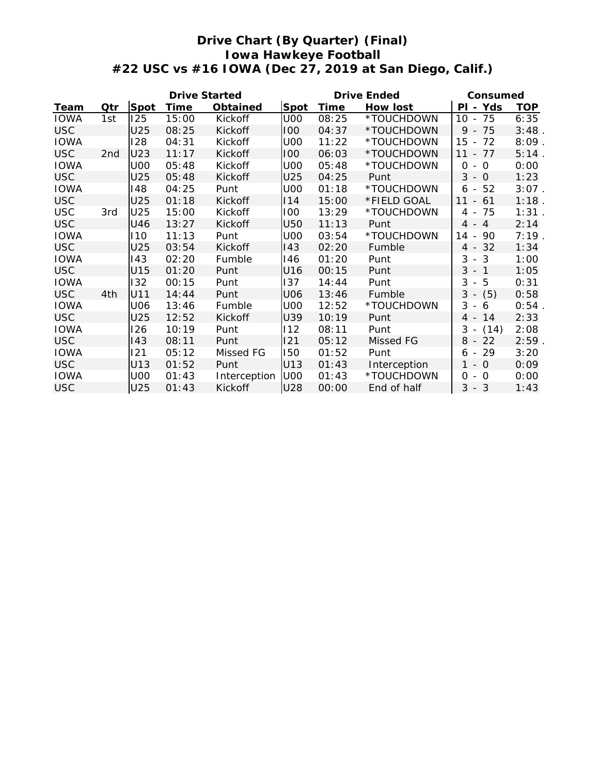## **Drive Chart (By Quarter) (Final) Iowa Hawkeye Football #22 USC vs #16 IOWA (Dec 27, 2019 at San Diego, Calif.)**

|             | Drive Started   |            |       |              |            | Drive Ended | Consumed     |                                                 |            |
|-------------|-----------------|------------|-------|--------------|------------|-------------|--------------|-------------------------------------------------|------------|
| Team        | Qtr             | Spot       | Time  | Obtained     | Spot       | Time        | How lost     | Yds<br>ΡI<br>$\sim$                             | <b>TOP</b> |
| <b>IOWA</b> | 1st             | 125        | 15:00 | Kickoff      | <b>U00</b> | 08:25       | *TOUCHDOWN   | 75<br>10<br>$\sim$                              | 6:35       |
| <b>USC</b>  |                 | U25        | 08:25 | Kickoff      | 100        | 04:37       | *TOUCHDOWN   | $9 -$<br>75                                     | 3:48       |
| <b>IOWA</b> |                 | 128        | 04:31 | Kickoff      | <b>U00</b> | 11:22       | *TOUCHDOWN   | 15<br>72                                        | 8:09       |
| <b>USC</b>  | 2 <sub>nd</sub> | U23        | 11:17 | Kickoff      | 100        | 06:03       | *TOUCHDOWN   | 11<br>77<br>$\equiv$                            | 5:14       |
| <b>IOWA</b> |                 | <b>U00</b> | 05:48 | Kickoff      | <b>U00</b> | 05:48       | *TOUCHDOWN   | 0<br>$\circ$<br>$\overline{\phantom{a}}$        | 0:00       |
| <b>USC</b>  |                 | U25        | 05:48 | Kickoff      | U25        | 04:25       | Punt         | $3 - 0$                                         | 1:23       |
| <b>IOWA</b> |                 | 148        | 04:25 | Punt         | <b>U00</b> | 01:18       | *TOUCHDOWN   | 52<br>6<br>$\overline{\phantom{a}}$             | 3:07       |
| <b>USC</b>  |                 | U25        | 01:18 | Kickoff      | 14         | 15:00       | *FIELD GOAL  | 11<br>61<br>$\overline{\phantom{a}}$            | 1:18       |
| <b>USC</b>  | 3rd             | U25        | 15:00 | Kickoff      | 100        | 13:29       | *TOUCHDOWN   | 75<br>4 -                                       | 1:31       |
| <b>USC</b>  |                 | U46        | 13:27 | Kickoff      | <b>U50</b> | 11:13       | Punt         | $4 - 4$                                         | 2:14       |
| <b>IOWA</b> |                 | 110        | 11:13 | Punt         | <b>U00</b> | 03:54       | *TOUCHDOWN   | 14<br>90<br>$\overline{\phantom{a}}$            | 7:19       |
| <b>USC</b>  |                 | U25        | 03:54 | Kickoff      | 143        | 02:20       | Fumble       | 32<br>$4 -$                                     | 1:34       |
| <b>IOWA</b> |                 | 143        | 02:20 | Fumble       | 146        | 01:20       | Punt         | 3<br>3<br>$\sim$                                | 1:00       |
| <b>USC</b>  |                 | U15        | 01:20 | Punt         | U16        | 00:15       | Punt         | 3<br>$\overline{1}$<br>$\overline{\phantom{a}}$ | 1:05       |
| <b>IOWA</b> |                 | 132        | 00:15 | Punt         | 137        | 14:44       | Punt         | 3<br>5<br>$\sim$                                | 0:31       |
| <b>USC</b>  | 4th             | U11        | 14:44 | Punt         | U06        | 13:46       | Fumble       | (5)<br>3<br>$\overline{\phantom{a}}$            | 0:58       |
| <b>IOWA</b> |                 | <b>U06</b> | 13:46 | Fumble       | <b>U00</b> | 12:52       | *TOUCHDOWN   | 3<br>6<br>$\overline{\phantom{a}}$              | 0:54       |
| <b>USC</b>  |                 | U25        | 12:52 | Kickoff      | U39        | 10:19       | Punt         | 4 -<br>14                                       | 2:33       |
| <b>IOWA</b> |                 | 126        | 10:19 | Punt         | 112        | 08:11       | Punt         | 3<br>(14)<br>$\overline{\phantom{a}}$           | 2:08       |
| <b>USC</b>  |                 | 143        | 08:11 | Punt         | 121        | 05:12       | Missed FG    | 22<br>8<br>$\overline{\phantom{a}}$             | 2:59       |
| <b>IOWA</b> |                 | 121        | 05:12 | Missed FG    | 150        | 01:52       | Punt         | 29<br>6<br>$\overline{\phantom{a}}$             | 3:20       |
| <b>USC</b>  |                 | U13        | 01:52 | Punt         | U13        | 01:43       | Interception | $1 - 0$                                         | 0:09       |
| <b>IOWA</b> |                 | <b>U00</b> | 01:43 | Interception | <b>U00</b> | 01:43       | *TOUCHDOWN   | 0<br>$-$ 0                                      | 0:00       |
| <b>USC</b>  |                 | U25        | 01:43 | Kickoff      | <b>U28</b> | 00:00       | End of half  | 3<br>$-3$                                       | 1:43       |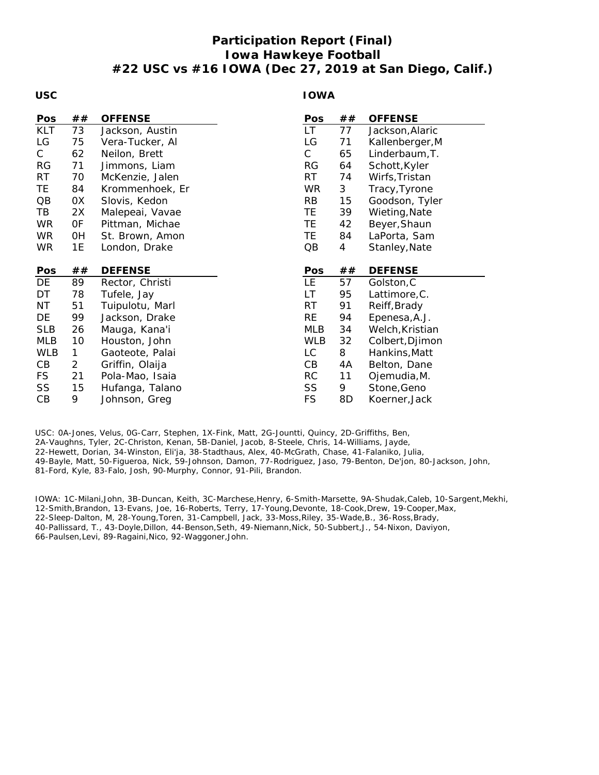## **Participation Report (Final) Iowa Hawkeye Football #22 USC vs #16 IOWA (Dec 27, 2019 at San Diego, Calif.)**

#### **USC**

#### **IOWA**

| Pos        | ##             | <b>OFFENSE</b>  | Pos          | ##             | <b>OFFENSE</b>  |
|------------|----------------|-----------------|--------------|----------------|-----------------|
| <b>KLT</b> | 73             | Jackson, Austin | LT.          | 77             | Jackson, Alaric |
| LG         | 75             | Vera-Tucker, Al | LG           | 71             | Kallenberger, M |
| C.         | 62             | Neilon, Brett   | $\mathsf{C}$ | 65             | Linderbaum, T.  |
| <b>RG</b>  | 71             | Jimmons, Liam   | <b>RG</b>    | 64             | Schott, Kyler   |
| <b>RT</b>  | 70             | McKenzie, Jalen | <b>RT</b>    | 74             | Wirfs, Tristan  |
| TE.        | 84             | Krommenhoek, Er | <b>WR</b>    | 3              | Tracy, Tyrone   |
| QB         | 0X             | Slovis, Kedon   | <b>RB</b>    | 15             | Goodson, Tyler  |
| TB         | 2X             | Malepeai, Vavae | TE.          | 39             | Wieting, Nate   |
| <b>WR</b>  | OF             | Pittman, Michae | ΤE.          | 42             | Beyer, Shaun    |
| <b>WR</b>  | 0H             | St. Brown, Amon | TE.          | 84             | LaPorta, Sam    |
| <b>WR</b>  | 1E             | London, Drake   | QB           | $\overline{4}$ | Stanley, Nate   |
|            |                |                 |              |                |                 |
| Pos        | ##             | <b>DEFENSE</b>  | Pos          | ##             | <b>DEFENSE</b>  |
| DE         | 89             | Rector, Christi | <b>LE</b>    | 57             | Golston, C      |
| DT         | 78             | Tufele, Jay     | LT           | 95             | Lattimore, C.   |
| NT         | 51             | Tuipulotu, Marl | <b>RT</b>    | 91             | Reiff, Brady    |
| DE         | 99             | Jackson, Drake  | <b>RE</b>    | 94             | Epenesa, A.J.   |
| <b>SLB</b> | 26             | Mauga, Kana'i   | MLB          | 34             | Welch, Kristian |
| <b>MLB</b> | 10             | Houston, John   | <b>WLB</b>   | 32             | Colbert, Djimon |
| <b>WLB</b> | 1              | Gaoteote, Palai | LC           | 8              | Hankins, Matt   |
| CB         | $\overline{2}$ | Griffin, Olaija | CB           | 4A             | Belton, Dane    |
| <b>FS</b>  | 21             | Pola-Mao, Isaia | <b>RC</b>    | 11             | Ojemudia, M.    |
| SS         | 15             | Hufanga, Talano | SS           | 9              | Stone, Geno     |
| CВ         | 9              | Johnson, Greg   | <b>FS</b>    | 8D             | Koerner, Jack   |

USC: 0A-Jones, Velus, 0G-Carr, Stephen, 1X-Fink, Matt, 2G-Jountti, Quincy, 2D-Griffiths, Ben, 2A-Vaughns, Tyler, 2C-Christon, Kenan, 5B-Daniel, Jacob, 8-Steele, Chris, 14-Williams, Jayde, 22-Hewett, Dorian, 34-Winston, Eli'ja, 38-Stadthaus, Alex, 40-McGrath, Chase, 41-Falaniko, Julia, 49-Bayle, Matt, 50-Figueroa, Nick, 59-Johnson, Damon, 77-Rodriguez, Jaso, 79-Benton, De'jon, 80-Jackson, John, 81-Ford, Kyle, 83-Falo, Josh, 90-Murphy, Connor, 91-Pili, Brandon.

IOWA: 1C-Milani,John, 3B-Duncan, Keith, 3C-Marchese,Henry, 6-Smith-Marsette, 9A-Shudak,Caleb, 10-Sargent,Mekhi, 12-Smith,Brandon, 13-Evans, Joe, 16-Roberts, Terry, 17-Young,Devonte, 18-Cook,Drew, 19-Cooper,Max, 22-Sleep-Dalton, M, 28-Young,Toren, 31-Campbell, Jack, 33-Moss,Riley, 35-Wade,B., 36-Ross,Brady, 40-Pallissard, T., 43-Doyle,Dillon, 44-Benson,Seth, 49-Niemann,Nick, 50-Subbert,J., 54-Nixon, Daviyon, 66-Paulsen,Levi, 89-Ragaini,Nico, 92-Waggoner,John.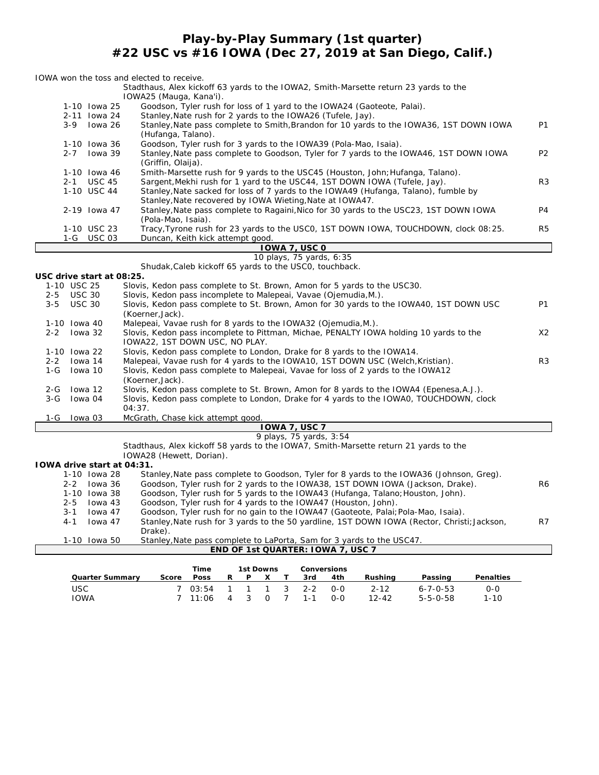## **Play-by-Play Summary (1st quarter) #22 USC vs #16 IOWA (Dec 27, 2019 at San Diego, Calif.)**

|                                                      | IOWA won the toss and elected to receive.                                                                                                                                           |                |
|------------------------------------------------------|-------------------------------------------------------------------------------------------------------------------------------------------------------------------------------------|----------------|
|                                                      | Stadthaus, Alex kickoff 63 yards to the IOWA2, Smith-Marsette return 23 yards to the                                                                                                |                |
|                                                      | IOWA25 (Mauga, Kana'i).                                                                                                                                                             |                |
| 1-10 Iowa 25                                         | Goodson, Tyler rush for loss of 1 yard to the IOWA24 (Gaoteote, Palai).                                                                                                             |                |
| 2-11 Iowa 24                                         | Stanley, Nate rush for 2 yards to the IOWA26 (Tufele, Jay).                                                                                                                         | <b>P1</b>      |
| lowa 26<br>$3 - 9$                                   | Stanley, Nate pass complete to Smith, Brandon for 10 yards to the IOWA36, 1ST DOWN IOWA<br>(Hufanga, Talano).                                                                       |                |
| 1-10 Iowa 36                                         | Goodson, Tyler rush for 3 yards to the IOWA39 (Pola-Mao, Isaia).                                                                                                                    |                |
| $2 - 7$                                              | lowa 39<br>Stanley, Nate pass complete to Goodson, Tyler for 7 yards to the IOWA46, 1ST DOWN IOWA                                                                                   | P <sub>2</sub> |
|                                                      | (Griffin, Olaija).                                                                                                                                                                  |                |
| 1-10 Iowa 46                                         | Smith-Marsette rush for 9 yards to the USC45 (Houston, John; Hufanga, Talano).                                                                                                      |                |
| $2 - 1$<br><b>USC 45</b>                             | Sargent, Mekhi rush for 1 yard to the USC44, 1ST DOWN IOWA (Tufele, Jay).                                                                                                           | R <sub>3</sub> |
| 1-10 USC 44                                          | Stanley, Nate sacked for loss of 7 yards to the IOWA49 (Hufanga, Talano), fumble by                                                                                                 |                |
|                                                      | Stanley, Nate recovered by IOWA Wieting, Nate at IOWA47.                                                                                                                            |                |
| 2-19 Iowa 47                                         | Stanley, Nate pass complete to Ragaini, Nico for 30 yards to the USC23, 1ST DOWN IOWA                                                                                               | P <sub>4</sub> |
| 1-10 USC 23                                          | (Pola-Mao, Isaia).<br>Tracy, Tyrone rush for 23 yards to the USCO, 1ST DOWN IOWA, TOUCHDOWN, clock 08:25.                                                                           | R <sub>5</sub> |
| 1-G USC 03                                           | Duncan, Keith kick attempt good.                                                                                                                                                    |                |
|                                                      | IOWA 7, USC 0                                                                                                                                                                       |                |
|                                                      | 10 plays, 75 yards, 6:35                                                                                                                                                            |                |
|                                                      | Shudak, Caleb kickoff 65 yards to the USCO, touchback.                                                                                                                              |                |
| USC drive start at 08:25.                            |                                                                                                                                                                                     |                |
| 1-10 USC 25                                          | Slovis, Kedon pass complete to St. Brown, Amon for 5 yards to the USC30.                                                                                                            |                |
| <b>USC 30</b><br>$2 - 5$<br><b>USC 30</b><br>$3 - 5$ | Slovis, Kedon pass incomplete to Malepeai, Vavae (Ojemudia, M.).<br>Slovis, Kedon pass complete to St. Brown, Amon for 30 yards to the IOWA40, 1ST DOWN USC                         | <b>P1</b>      |
|                                                      | (Koerner, Jack).                                                                                                                                                                    |                |
| 1-10 Iowa 40                                         | Malepeal, Vavae rush for 8 yards to the IOWA32 (Ojemudia, M.).                                                                                                                      |                |
| $2 - 2$<br>lowa 32                                   | Slovis, Kedon pass incomplete to Pittman, Michae, PENALTY IOWA holding 10 yards to the                                                                                              | X2             |
|                                                      | IOWA22, 1ST DOWN USC, NO PLAY.                                                                                                                                                      |                |
| 1-10 Iowa 22                                         | Slovis, Kedon pass complete to London, Drake for 8 yards to the IOWA14.                                                                                                             |                |
| $2 - 2$<br>lowa 14                                   | Malepeai, Vavae rush for 4 yards to the IOWA10, 1ST DOWN USC (Welch, Kristian).                                                                                                     | R <sub>3</sub> |
| $1-G$<br>lowa 10                                     | Slovis, Kedon pass complete to Malepeai, Vavae for loss of 2 yards to the IOWA12                                                                                                    |                |
| $2 - G$<br>lowa 12                                   | (Koerner, Jack).                                                                                                                                                                    |                |
| lowa 04<br>$3-G$                                     | Slovis, Kedon pass complete to St. Brown, Amon for 8 yards to the IOWA4 (Epenesa, A.J.).<br>Slovis, Kedon pass complete to London, Drake for 4 yards to the IOWAO, TOUCHDOWN, clock |                |
|                                                      | 04:37.                                                                                                                                                                              |                |
| lowa 03<br>1-G                                       | McGrath, Chase kick attempt good.                                                                                                                                                   |                |
|                                                      | <b>IOWA 7, USC 7</b>                                                                                                                                                                |                |
|                                                      | 9 plays, 75 yards, 3:54                                                                                                                                                             |                |
|                                                      | Stadthaus, Alex kickoff 58 yards to the IOWA7, Smith-Marsette return 21 yards to the                                                                                                |                |
|                                                      | IOWA28 (Hewett, Dorian).                                                                                                                                                            |                |
| IOWA drive start at 04:31.<br>1-10 Iowa 28           |                                                                                                                                                                                     |                |
| $2 - 2$<br>lowa 36                                   | Stanley, Nate pass complete to Goodson, Tyler for 8 yards to the IOWA36 (Johnson, Greg).<br>Goodson, Tyler rush for 2 yards to the IOWA38, 1ST DOWN IOWA (Jackson, Drake).          | R <sub>6</sub> |
| 1-10 Iowa 38                                         | Goodson, Tyler rush for 5 yards to the IOWA43 (Hufanga, Talano; Houston, John).                                                                                                     |                |
| lowa 43<br>$2 - 5$                                   | Goodson, Tyler rush for 4 yards to the IOWA47 (Houston, John).                                                                                                                      |                |
| $3 - 1$<br>lowa 47                                   | Goodson, Tyler rush for no gain to the IOWA47 (Gaoteote, Palai; Pola-Mao, Isaia).                                                                                                   |                |
| $4 - 1$<br>lowa 47                                   | Stanley, Nate rush for 3 yards to the 50 yardline, 1ST DOWN IOWA (Rector, Christi; Jackson,                                                                                         | R7             |
|                                                      | Drake).                                                                                                                                                                             |                |
| 1-10 Iowa 50                                         | Stanley, Nate pass complete to LaPorta, Sam for 3 yards to the USC47.                                                                                                               |                |
|                                                      | END OF 1st QUARTER: IOWA 7, USC 7                                                                                                                                                   |                |
|                                                      | Time<br>1st Downs<br>Conversions                                                                                                                                                    |                |

|                 |       | l ime   |     | 1st Downs |                 | Conversions |          |                  |           |
|-----------------|-------|---------|-----|-----------|-----------------|-------------|----------|------------------|-----------|
| Ouarter Summarv | Score | Poss    | R P | $\times$  | .3rd            | 4th         | Rushina  | Passing          | Penalties |
| <b>USC</b>      |       | 703:54  |     |           | 1 1 1 3 2-2 0-0 |             | $2 - 12$ | $6 - 7 - 0 - 53$ | 0-0       |
| <b>IOWA</b>     |       | 7 11:06 |     |           | 4 3 0 7 1-1     | റ-റ         | 12-42    | $5 - 5 - 0 - 58$ | $1 - 10$  |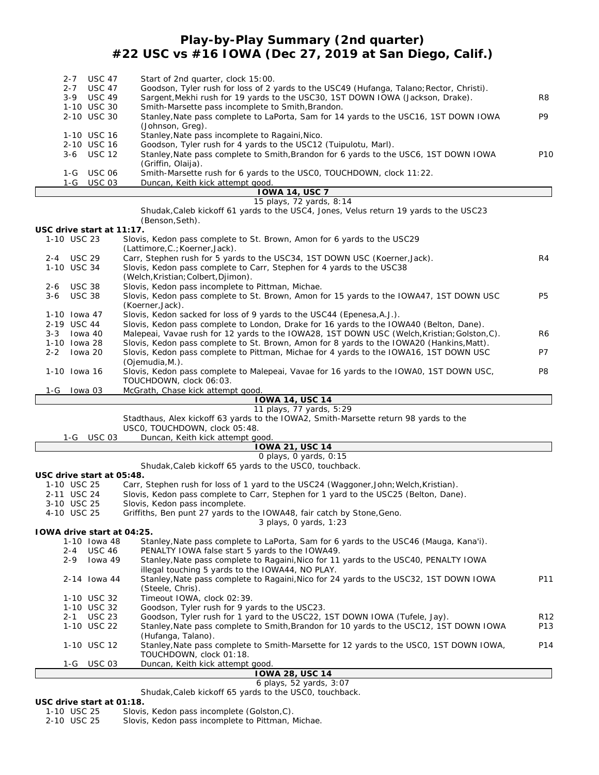## **Play-by-Play Summary (2nd quarter) #22 USC vs #16 IOWA (Dec 27, 2019 at San Diego, Calif.)**

| $2 - 7$ | <b>USC 47</b> | Start of 2nd quarter, clock 15:00.                                                                         |                 |
|---------|---------------|------------------------------------------------------------------------------------------------------------|-----------------|
| $2 - 7$ | USC 47        | Goodson, Tyler rush for loss of 2 yards to the USC49 (Hufanga, Talano; Rector, Christi).                   |                 |
| $3-9$   | USC 49        | Sargent, Mekhi rush for 19 yards to the USC30, 1ST DOWN IOWA (Jackson, Drake).                             | R8              |
|         | 1-10 USC 30   | Smith-Marsette pass incomplete to Smith, Brandon.                                                          |                 |
|         | 2-10 USC 30   | Stanley, Nate pass complete to LaPorta, Sam for 14 yards to the USC16, 1ST DOWN IOWA                       | P9              |
|         |               | (Johnson, Greg).                                                                                           |                 |
|         | 1-10 USC 16   | Stanley, Nate pass incomplete to Ragaini, Nico.                                                            |                 |
|         | 2-10 USC 16   | Goodson, Tyler rush for 4 yards to the USC12 (Tuipulotu, Marl).                                            |                 |
|         | $3-6$ USC 12  | Stanley, Nate pass complete to Smith, Brandon for 6 yards to the USC6, 1ST DOWN IOWA<br>(Griffin, Olaija). | P <sub>10</sub> |
| 1-G     | USC 06        | Smith-Marsette rush for 6 yards to the USCO, TOUCHDOWN, clock 11:22.                                       |                 |
|         | 1-G USC 03    | Duncan, Keith kick attempt good.                                                                           |                 |
|         |               | <b>IOWA 14, USC 7</b>                                                                                      |                 |
|         |               | 15 plays, 72 yards, 8:14                                                                                   |                 |
|         |               | Christian Calebralis United CA seconds to the UCCA Jones Value setting 10 resolute to the UCCOO            |                 |

|         |                           | Shudak, Caleb kickoff 61 yards to the USC4, Jones, Velus return 19 yards to the USC23        |                |
|---------|---------------------------|----------------------------------------------------------------------------------------------|----------------|
|         |                           | (Benson, Seth).                                                                              |                |
|         | USC drive start at 11:17. |                                                                                              |                |
|         | 1-10 USC 23               | Slovis, Kedon pass complete to St. Brown, Amon for 6 yards to the USC29                      |                |
|         |                           | (Lattimore.C.: Koerner.Jack).                                                                |                |
|         | 2-4 USC 29                | Carr, Stephen rush for 5 yards to the USC34, 1ST DOWN USC (Koerner, Jack).                   | R4             |
|         | 1-10 USC 34               | Slovis, Kedon pass complete to Carr, Stephen for 4 yards to the USC38                        |                |
|         |                           | (Welch, Kristian; Colbert, Djimon).                                                          |                |
| $2 - 6$ | <b>USC 38</b>             | Slovis, Kedon pass incomplete to Pittman, Michae.                                            |                |
| 3-6     | USC 38                    | Slovis, Kedon pass complete to St. Brown, Amon for 15 yards to the IOWA47, 1ST DOWN USC      | P <sub>5</sub> |
|         |                           | (Koerner, Jack).                                                                             |                |
|         | 1-10 Iowa 47              | Slovis, Kedon sacked for loss of 9 yards to the USC44 (Epenesa, A.J.).                       |                |
|         | 2-19 USC 44               | Slovis, Kedon pass complete to London, Drake for 16 yards to the IOWA40 (Belton, Dane).      |                |
| $3 - 3$ | Iowa 40                   | Malepeai, Vavae rush for 12 yards to the IOWA28, 1ST DOWN USC (Welch, Kristian; Golston, C). | R <sub>6</sub> |
|         | 1-10 Iowa 28              | Slovis, Kedon pass complete to St. Brown, Amon for 8 yards to the IOWA20 (Hankins, Matt).    |                |
| $2 - 2$ | lowa 20                   | Slovis, Kedon pass complete to Pittman, Michae for 4 yards to the IOWA16, 1ST DOWN USC       | P7             |
|         |                           | (Oiemudia,M.).                                                                               |                |
|         | 1-10 Iowa 16              | Slovis, Kedon pass complete to Malepeai, Vavae for 16 yards to the IOWAO, 1ST DOWN USC,      | P8             |
|         |                           | TOUCHDOWN, clock 06:03.                                                                      |                |

1-G Iowa 03 McGrath, Chase kick attempt good. **IOWA 14, USC 14**

| .<br>11 plays, 77 yards, 5:29                                                                                            |
|--------------------------------------------------------------------------------------------------------------------------|
|                                                                                                                          |
| Stadthaus, Alex kickoff 63 yards to the IOWA2, Smith-Marsette return 98 yards to the<br>USCO, TOUCHDOWN, clock 05:48.    |
| 1-G USC 03                                                                                                               |
| Duncan, Keith kick attempt good.<br>IOWA 21, USC 14                                                                      |
|                                                                                                                          |
| O plays, O yards, O:15                                                                                                   |
| Shudak, Caleb kickoff 65 yards to the USCO, touchback.                                                                   |
| USC drive start at 05:48.                                                                                                |
| 1-10 USC 25<br>Carr, Stephen rush for loss of 1 yard to the USC24 (Waggoner, John; Welch, Kristian).                     |
| 2-11 USC 24<br>Slovis, Kedon pass complete to Carr, Stephen for 1 yard to the USC25 (Belton, Dane).                      |
| Slovis, Kedon pass incomplete.<br>3-10 USC 25                                                                            |
| Griffiths, Ben punt 27 yards to the IOWA48, fair catch by Stone, Geno.<br>4-10 USC 25                                    |
| 3 plays, 0 yards, 1:23<br>TOWA drive start at 04:25.                                                                     |
|                                                                                                                          |
| 1-10 Iowa 48<br>Stanley, Nate pass complete to LaPorta, Sam for 6 yards to the USC46 (Mauga, Kana'i).                    |
| 2-4 USC 46<br>PENALTY IOWA false start 5 yards to the IOWA49.                                                            |
| Stanley, Nate pass complete to Ragaini, Nico for 11 yards to the USC40, PENALTY IOWA<br>lowa 49<br>$2 - 9$               |
| illegal touching 5 yards to the IOWA44, NO PLAY.                                                                         |
| Stanley, Nate pass complete to Ragaini, Nico for 24 yards to the USC32, 1ST DOWN IOWA<br>P11<br>2-14 Iowa 44             |
| (Steele, Chris).                                                                                                         |
| 1-10 USC 32<br>Timeout IOWA, clock 02:39.                                                                                |
| 1-10 USC 32<br>Goodson, Tyler rush for 9 yards to the USC23.                                                             |
| Goodson, Tyler rush for 1 yard to the USC22, 1ST DOWN IOWA (Tufele, Jay).<br><b>USC 23</b><br>R <sub>12</sub><br>$2 - 1$ |
| Stanley, Nate pass complete to Smith, Brandon for 10 yards to the USC12, 1ST DOWN IOWA<br>1-10 USC 22<br>P <sub>13</sub> |
| (Hufanga, Talano).                                                                                                       |
| Stanley, Nate pass complete to Smith-Marsette for 12 yards to the USCO, 1ST DOWN IOWA,<br>1-10 USC 12<br>P14             |
| TOUCHDOWN, clock 01:18.                                                                                                  |
| <b>USC 03</b><br>Duncan, Keith kick attempt good.<br>$1-G$                                                               |
| <b>OWA 28, USC 14</b>                                                                                                    |
| 6 plays, 52 yards, 3:07                                                                                                  |

Shudak,Caleb kickoff 65 yards to the USC0, touchback.

**USC drive start at 01:18.**

 $\overline{1}$ 

1-10 USC 25 Slovis, Kedon pass incomplete (Golston, C).<br>2-10 USC 25 Slovis, Kedon pass incomplete to Pittman, M

Slovis, Kedon pass incomplete to Pittman, Michae.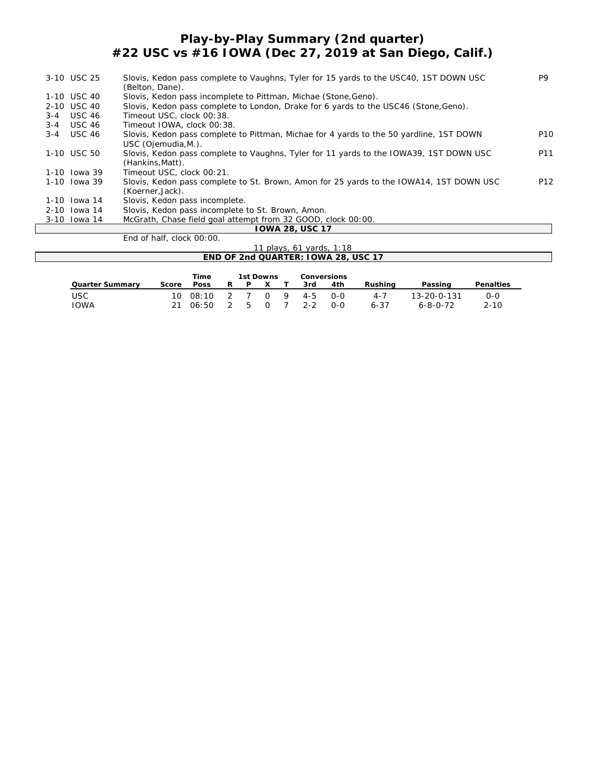## **Play-by-Play Summary (2nd quarter) #22 USC vs #16 IOWA (Dec 27, 2019 at San Diego, Calif.)**

|         | 3-10 USC 25   | Slovis, Kedon pass complete to Vaughns, Tyler for 15 yards to the USC40, 1ST DOWN USC<br>(Belton, Dane).       | P9              |
|---------|---------------|----------------------------------------------------------------------------------------------------------------|-----------------|
|         | 1-10 USC 40   | Slovis, Kedon pass incomplete to Pittman, Michae (Stone, Geno).                                                |                 |
|         | 2-10 USC 40   | Slovis, Kedon pass complete to London, Drake for 6 yards to the USC46 (Stone, Geno).                           |                 |
| $3 - 4$ | <b>USC 46</b> | Timeout USC, clock 00:38.                                                                                      |                 |
| $3 - 4$ | <b>USC 46</b> | Timeout IOWA, clock 00:38.                                                                                     |                 |
| $3 - 4$ | <b>USC 46</b> | Slovis, Kedon pass complete to Pittman, Michae for 4 yards to the 50 yardline, 1ST DOWN<br>USC (Ojemudia, M.). | P <sub>10</sub> |
|         | 1-10 USC 50   | Slovis, Kedon pass complete to Vaughns, Tyler for 11 yards to the IOWA39, 1ST DOWN USC<br>(Hankins, Matt).     | P11             |
|         | 1-10 Iowa 39  | Timeout USC, clock 00:21.                                                                                      |                 |
|         | 1-10 Iowa 39  | Slovis, Kedon pass complete to St. Brown, Amon for 25 yards to the IOWA14, 1ST DOWN USC<br>(Koerner, Jack).    | P <sub>12</sub> |
|         | 1-10 lowa 14  | Slovis, Kedon pass incomplete.                                                                                 |                 |
|         | 2-10 Iowa 14  | Slovis, Kedon pass incomplete to St. Brown, Amon.                                                              |                 |
|         | 3-10 Iowa 14  | McGrath, Chase field goal attempt from 32 GOOD, clock 00:00.                                                   |                 |
|         |               | TOWA 28, USC 17                                                                                                |                 |
|         |               | End of half, clock 00:00.                                                                                      |                 |
|         |               | $11$ plays 61 vards $1.18$                                                                                     |                 |

| 11 plays, 61 vards, 1:18<br>END OF 2nd QUARTER: IOWA 28, USC 17 |           |                |               |           |  |            |                |                    |                     |                                 |                     |
|-----------------------------------------------------------------|-----------|----------------|---------------|-----------|--|------------|----------------|--------------------|---------------------|---------------------------------|---------------------|
| Quarter Summary                                                 | Score     | Time<br>Poss   | R.            | 1st Downs |  |            | 3rd            | Conversions<br>4th | Rushing             | Passing                         | Penalties           |
| <b>USC</b><br><b>IOWA</b>                                       | 10.<br>21 | 08:10<br>06:50 | $\mathcal{D}$ |           |  | $0 \theta$ | $4 - 5$<br>2-2 | 0-0<br>0-0         | $4 - 7$<br>$6 - 37$ | $13 - 20 - 0 - 131$<br>6-8-0-72 | $0 - 0$<br>$2 - 10$ |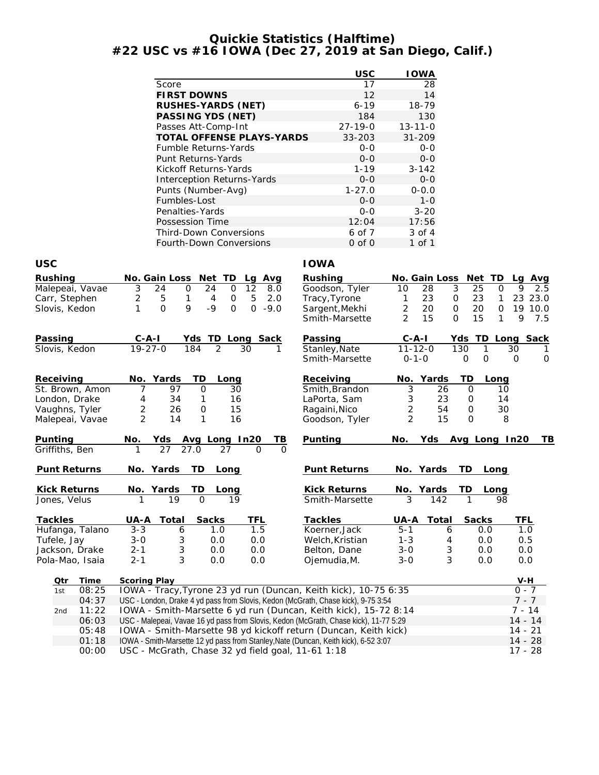#### **Quickie Statistics (Halftime) #22 USC vs #16 IOWA (Dec 27, 2019 at San Diego, Calif.)**

|                                |                                                                                                                     | <b>USC</b>                       | <b>IOWA</b>                              |                                        |
|--------------------------------|---------------------------------------------------------------------------------------------------------------------|----------------------------------|------------------------------------------|----------------------------------------|
|                                | Score                                                                                                               | 17                               | 28                                       |                                        |
|                                | <b>FIRST DOWNS</b>                                                                                                  | 12                               | 14                                       |                                        |
|                                | RUSHES-YARDS (NET)                                                                                                  | $6 - 19$                         | 18-79                                    |                                        |
|                                | PASSING YDS (NET)                                                                                                   | 184                              | 130                                      |                                        |
|                                | Passes Att-Comp-Int                                                                                                 | $27 - 19 - 0$                    | $13 - 11 - 0$                            |                                        |
|                                | TOTAL OFFENSE PLAYS-YARDS                                                                                           | 33-203                           | $31 - 209$                               |                                        |
|                                | Fumble Returns-Yards                                                                                                | $O-O$                            | $0 - 0$                                  |                                        |
|                                | Punt Returns-Yards                                                                                                  | $0 - 0$                          | $0-0$                                    |                                        |
|                                | Kickoff Returns-Yards<br><b>Interception Returns-Yards</b>                                                          | $1 - 19$<br>$0 - 0$              | $3 - 142$<br>$0-0$                       |                                        |
|                                | Punts (Number-Avg)                                                                                                  | $1 - 27.0$                       | $0 - 0.0$                                |                                        |
|                                | Fumbles-Lost                                                                                                        | $O-O$                            | $1 - 0$                                  |                                        |
|                                | Penalties-Yards                                                                                                     | $0 - 0$                          | $3 - 20$                                 |                                        |
|                                | Possession Time                                                                                                     | 12:04                            | 17:56                                    |                                        |
|                                | Third-Down Conversions                                                                                              | 6 of 7                           | 3 of 4                                   |                                        |
|                                | Fourth-Down Conversions                                                                                             | $0$ of $0$                       | 1 of 1                                   |                                        |
|                                |                                                                                                                     |                                  |                                          |                                        |
| <b>USC</b>                     |                                                                                                                     | <b>IOWA</b>                      |                                          |                                        |
| Rushing                        | No. Gain Loss Net TD<br>Lg<br>Avg                                                                                   | Rushing                          | No. Gain Loss<br>Net                     | TD.<br>Avg<br>La                       |
| Malepeai, Vavae                | 3<br>$\overline{12}$<br>24<br>$\mathsf{O}$<br>24<br>$\mathbf 0$<br>8.0                                              | Goodson, Tyler                   | 3<br>25<br>10<br>28                      | 9<br>$\mathbf 0$<br>2.5                |
| Carr, Stephen<br>Slovis, Kedon | 2<br>5<br>5<br>1<br>$\mathbf 0$<br>2.0<br>4<br>$\mathbf{O}$<br>9<br>1<br>-9<br>$\overline{0}$<br>$\Omega$<br>$-9.0$ | Tracy, Tyrone                    | 23<br>23<br>1<br>0<br>2<br>20<br>20<br>0 | 23 23.0<br>1<br>$\mathbf 0$<br>19 10.0 |
|                                |                                                                                                                     | Sargent, Mekhi<br>Smith-Marsette | 2<br>15<br>15<br>$\mathbf{O}$            | 9<br>1<br>7.5                          |
|                                |                                                                                                                     |                                  |                                          |                                        |
| Passing                        | Yds TD Long Sack<br><u>C-A-I</u>                                                                                    | Passing                          | $C-A-I$<br>TD<br>Yds                     | Long Sack                              |
| Slovis, Kedon                  | $19 - 27 - 0$<br>$\overline{2}$<br>184<br>30                                                                        | Stanley, Nate                    | $11 - 12 - 0$<br>130<br>1                | 30<br>1                                |
|                                |                                                                                                                     | Smith-Marsette                   | $0 - 1 - 0$<br>$\mathbf{O}$<br>O         | $\mathbf 0$<br>0                       |
| Receiving                      | No. Yards<br>TD<br>Long                                                                                             | Receiving                        | TD<br>No.<br>Yards                       | Long                                   |
| St. Brown, Amon                | 97<br>$\mathbf{O}$<br>7<br>30                                                                                       | Smith, Brandon                   | 3<br>26<br>0                             | 10                                     |
| London, Drake                  | 4<br>34<br>1<br>16                                                                                                  | LaPorta, Sam                     | 3<br>23<br>0                             | 14                                     |
| Vaughns, Tyler                 | 2<br>0<br>15<br>26                                                                                                  | Ragaini, Nico                    | $\overline{2}$<br>54<br>0                | 30                                     |
| Malepeai, Vavae                | $\overline{2}$<br>14<br>1<br>16                                                                                     | Goodson, Tyler                   | 2<br>15<br>0                             | 8                                      |
| Punting                        | No.<br>Avg Long In20<br>TВ<br>Yds                                                                                   | Punting                          | No.<br>Yds                               | Avg Long In20<br>TB                    |
| Griffiths, Ben                 | 27<br>27.0<br>$\Omega$<br>27                                                                                        |                                  |                                          |                                        |
| Punt Returns                   | No. Yards<br>TD<br>Long                                                                                             | Punt Returns                     | No. Yards<br>TD                          | Long                                   |
|                                |                                                                                                                     |                                  |                                          |                                        |
| Kick Returns                   | No.<br>Yards<br>TD<br>Long                                                                                          | <b>Kick Returns</b>              | Yards<br>TD<br>No.                       | Long                                   |
| Jones, Velus                   | 19<br>1<br>$\overline{O}$<br>19                                                                                     | Smith-Marsette                   | 3<br>142<br>1                            | 98                                     |
| Tackles                        | UA-A<br>Total<br>Sacks<br>TFL                                                                                       | Tackles                          | UA-A<br>Total<br>Sacks                   | <b>TFL</b>                             |
| Hufanga, Talano                | 1.5<br>$3 - 3$<br>6<br>1.0                                                                                          | Koerner, Jack                    | $5 - 1$<br>0.0<br>6                      | 1.0                                    |
| Tufele, Jay                    | 3<br>$3 - 0$<br>0.0<br>0.0                                                                                          | Welch, Kristian                  | $1 - 3$<br>4<br>0.0                      | 0.5                                    |
| Jackson, Drake                 | 3<br>0.0<br>$2 - 1$<br>0.0                                                                                          | Belton, Dane                     | $3 - 0$<br>3<br>0.0                      | 0.0                                    |
| Pola-Mao, Isaia                | 3<br>$2 - 1$<br>0.0<br>0.0                                                                                          | Ojemudia, M.                     | 3<br>$3 - 0$<br>0.0                      | 0.0                                    |
|                                |                                                                                                                     |                                  |                                          |                                        |
| <b>Time</b><br>Qtr             | Scoring Play<br>IOWA - Tracy, Tyrone 23 yd run (Duncan, Keith kick), 10-75 6:35                                     |                                  |                                          | V-H<br>$0 - 7$                         |
| 08:25<br>1st<br>04:37          | USC - London, Drake 4 yd pass from Slovis, Kedon (McGrath, Chase kick), 9-75 3:54                                   |                                  |                                          | $7 - 7$                                |
| 11:22<br>2nd                   | IOWA - Smith-Marsette 6 yd run (Duncan, Keith kick), 15-72 8:14                                                     |                                  |                                          | $7 - 14$                               |
| 06:03                          | USC - Malepeai, Vavae 16 yd pass from Slovis, Kedon (McGrath, Chase kick), 11-77 5:29                               |                                  |                                          | $14 - 14$                              |
| 05:48                          | IOWA - Smith-Marsette 98 yd kickoff return (Duncan, Keith kick)                                                     |                                  |                                          | $14 - 21$                              |
| 01:18                          | IOWA - Smith-Marsette 12 yd pass from Stanley, Nate (Duncan, Keith kick), 6-52 3:07                                 |                                  |                                          | $14 - 28$                              |

00:00 USC - McGrath, Chase 32 yd field goal, 11-61 1:18 17 · 28 17 - 28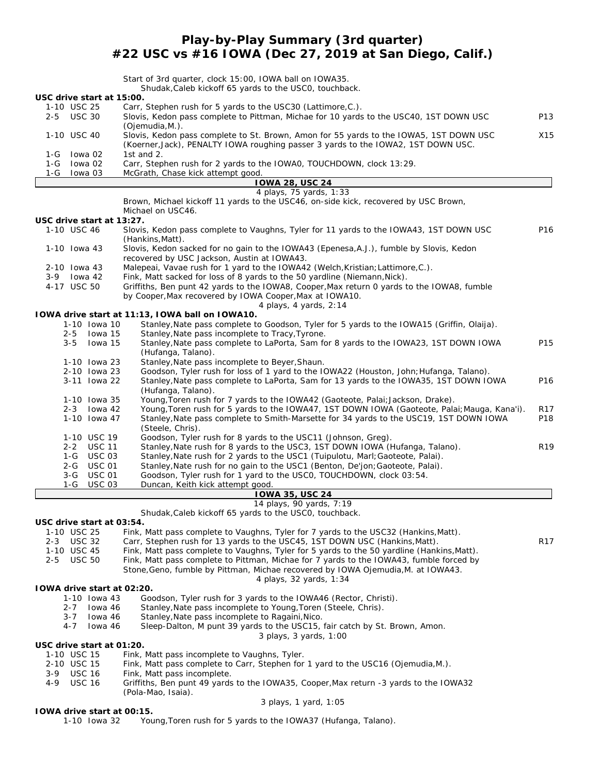### **Play-by-Play Summary (3rd quarter) #22 USC vs #16 IOWA (Dec 27, 2019 at San Diego, Calif.)**

|                                 | Start of 3rd quarter, clock 15:00, IOWA ball on IOWA35.                                                                                                                                |                 |
|---------------------------------|----------------------------------------------------------------------------------------------------------------------------------------------------------------------------------------|-----------------|
| USC drive start at 15:00.       | Shudak, Caleb kickoff 65 yards to the USCO, touchback.                                                                                                                                 |                 |
| 1-10 USC 25                     | Carr, Stephen rush for 5 yards to the USC30 (Lattimore, C.).                                                                                                                           |                 |
| 2-5<br><b>USC 30</b>            | Slovis, Kedon pass complete to Pittman, Michae for 10 yards to the USC40, 1ST DOWN USC                                                                                                 | P13             |
|                                 | (Ojemudia, M.).                                                                                                                                                                        |                 |
| 1-10 USC 40                     | Slovis, Kedon pass complete to St. Brown, Amon for 55 yards to the IOWA5, 1ST DOWN USC<br>(Koerner, Jack), PENALTY IOWA roughing passer 3 yards to the IOWA2, 1ST DOWN USC.            | X15             |
| 1-G<br>lowa 02                  | 1st and 2.                                                                                                                                                                             |                 |
| 1-G lowa 02                     | Carr, Stephen rush for 2 yards to the IOWAO, TOUCHDOWN, clock 13:29.                                                                                                                   |                 |
| 1-G Iowa 03                     | McGrath, Chase kick attempt good.                                                                                                                                                      |                 |
|                                 | <b>IOWA 28, USC 24</b><br>4 plays, 75 yards, 1:33                                                                                                                                      |                 |
|                                 | Brown, Michael kickoff 11 yards to the USC46, on-side kick, recovered by USC Brown,                                                                                                    |                 |
|                                 | Michael on USC46.                                                                                                                                                                      |                 |
| USC drive start at 13:27.       |                                                                                                                                                                                        |                 |
| 1-10 USC 46                     | Slovis, Kedon pass complete to Vaughns, Tyler for 11 yards to the IOWA43, 1ST DOWN USC                                                                                                 | P16             |
| 1-10 Iowa 43                    | (Hankins, Matt).<br>Slovis, Kedon sacked for no gain to the IOWA43 (Epenesa, A.J.), fumble by Slovis, Kedon                                                                            |                 |
|                                 | recovered by USC Jackson, Austin at IOWA43.                                                                                                                                            |                 |
| 2-10 Iowa 43                    | Malepeai, Vavae rush for 1 yard to the IOWA42 (Welch, Kristian; Lattimore, C.).                                                                                                        |                 |
| lowa 42<br>3-9                  | Fink, Matt sacked for loss of 8 yards to the 50 yardline (Niemann, Nick).                                                                                                              |                 |
| 4-17 USC 50                     | Griffiths, Ben punt 42 yards to the IOWA8, Cooper, Max return 0 yards to the IOWA8, fumble<br>by Cooper, Max recovered by IOWA Cooper, Max at IOWA10.                                  |                 |
|                                 | 4 plays, 4 yards, 2:14                                                                                                                                                                 |                 |
|                                 | TOWA drive start at 11:13, TOWA ball on TOWA10.                                                                                                                                        |                 |
| 1-10 Iowa 10                    | Stanley, Nate pass complete to Goodson, Tyler for 5 yards to the IOWA15 (Griffin, Olaija).                                                                                             |                 |
| $2 - 5$<br>lowa 15              | Stanley, Nate pass incomplete to Tracy, Tyrone.                                                                                                                                        |                 |
| $3 - 5$<br>lowa 15              | Stanley, Nate pass complete to LaPorta, Sam for 8 yards to the IOWA23, 1ST DOWN IOWA<br>(Hufanga, Talano).                                                                             | P15             |
| 1-10 Iowa 23                    | Stanley, Nate pass incomplete to Beyer, Shaun.                                                                                                                                         |                 |
| 2-10 Iowa 23                    | Goodson, Tyler rush for loss of 1 yard to the IOWA22 (Houston, John; Hufanga, Talano).                                                                                                 |                 |
| 3-11 Iowa 22                    | Stanley, Nate pass complete to LaPorta, Sam for 13 yards to the IOWA35, 1ST DOWN IOWA                                                                                                  | P16             |
|                                 | (Hufanga, Talano).                                                                                                                                                                     |                 |
| 1-10 Iowa 35                    | Young, Toren rush for 7 yards to the IOWA42 (Gaoteote, Palai; Jackson, Drake).                                                                                                         |                 |
| 2-3 Iowa 42<br>1-10 Iowa 47     | Young, Toren rush for 5 yards to the IOWA47, 1ST DOWN IOWA (Gaoteote, Palai; Mauga, Kana'i).<br>Stanley, Nate pass complete to Smith-Marsette for 34 yards to the USC19, 1ST DOWN IOWA | R17<br>P18      |
|                                 | (Steele, Chris).                                                                                                                                                                       |                 |
| 1-10 USC 19                     | Goodson, Tyler rush for 8 yards to the USC11 (Johnson, Greg).                                                                                                                          |                 |
| 2-2 USC 11                      | Stanley, Nate rush for 8 yards to the USC3, 1ST DOWN IOWA (Hufanga, Talano).                                                                                                           | R <sub>19</sub> |
| 1-G USC 03<br><b>USC 01</b>     | Stanley, Nate rush for 2 yards to the USC1 (Tuipulotu, Marl; Gaoteote, Palai).                                                                                                         |                 |
| $2 - G$<br><b>USC 01</b><br>3-G | Stanley, Nate rush for no gain to the USC1 (Benton, De'jon; Gaoteote, Palai).<br>Goodson, Tyler rush for 1 yard to the USCO, TOUCHDOWN, clock 03:54.                                   |                 |
| $1-G$<br><b>USC 03</b>          | Duncan, Keith kick attempt good.                                                                                                                                                       |                 |
|                                 | <b>IOWA 35, USC 24</b>                                                                                                                                                                 |                 |
|                                 | 14 plays, 90 yards, 7:19                                                                                                                                                               |                 |
| USC drive start at 03:54.       | Shudak, Caleb kickoff 65 yards to the USCO, touchback.                                                                                                                                 |                 |
| 1-10 USC 25                     | Fink, Matt pass complete to Vaughns, Tyler for 7 yards to the USC32 (Hankins, Matt).                                                                                                   |                 |
| 2-3 USC 32                      | Carr, Stephen rush for 13 yards to the USC45, 1ST DOWN USC (Hankins, Matt).                                                                                                            | R <sub>17</sub> |
| 1-10 USC 45                     | Fink, Matt pass complete to Vaughns, Tyler for 5 yards to the 50 yardline (Hankins, Matt).                                                                                             |                 |
| 2-5 USC 50                      | Fink, Matt pass complete to Pittman, Michae for 7 yards to the IOWA43, fumble forced by                                                                                                |                 |
|                                 | Stone, Geno, fumble by Pittman, Michae recovered by IOWA Ojemudia, M. at IOWA43.                                                                                                       |                 |
| TOWA drive start at 02:20.      | 4 plays, 32 yards, 1:34                                                                                                                                                                |                 |
| 1-10 Iowa 43                    | Goodson, Tyler rush for 3 yards to the IOWA46 (Rector, Christi).                                                                                                                       |                 |
| 2-7<br>lowa 46                  | Stanley, Nate pass incomplete to Young, Toren (Steele, Chris).                                                                                                                         |                 |
| $3 - 7$<br>lowa 46              | Stanley, Nate pass incomplete to Ragaini, Nico.                                                                                                                                        |                 |
| $4 - 7$<br>lowa 46              | Sleep-Dalton, M punt 39 yards to the USC15, fair catch by St. Brown, Amon.                                                                                                             |                 |
| USC drive start at 01:20.       | 3 plays, 3 yards, 1:00                                                                                                                                                                 |                 |
| 1-10 USC 15                     | Fink, Matt pass incomplete to Vaughns, Tyler.                                                                                                                                          |                 |
| 2-10 USC 15                     | Fink, Matt pass complete to Carr, Stephen for 1 yard to the USC16 (Ojemudia, M.).                                                                                                      |                 |
| 3-9<br><b>USC 16</b>            | Fink, Matt pass incomplete.                                                                                                                                                            |                 |
| 4-9<br><b>USC 16</b>            | Griffiths, Ben punt 49 yards to the IOWA35, Cooper, Max return -3 yards to the IOWA32                                                                                                  |                 |
|                                 | (Pola-Mao, Isaia).<br>3 plays, 1 yard, 1:05                                                                                                                                            |                 |
| TOWA drive start at 00:15.      |                                                                                                                                                                                        |                 |
| 1-10 lowa 32                    | Young, Toren rush for 5 yards to the IOWA37 (Hufanga, Talano).                                                                                                                         |                 |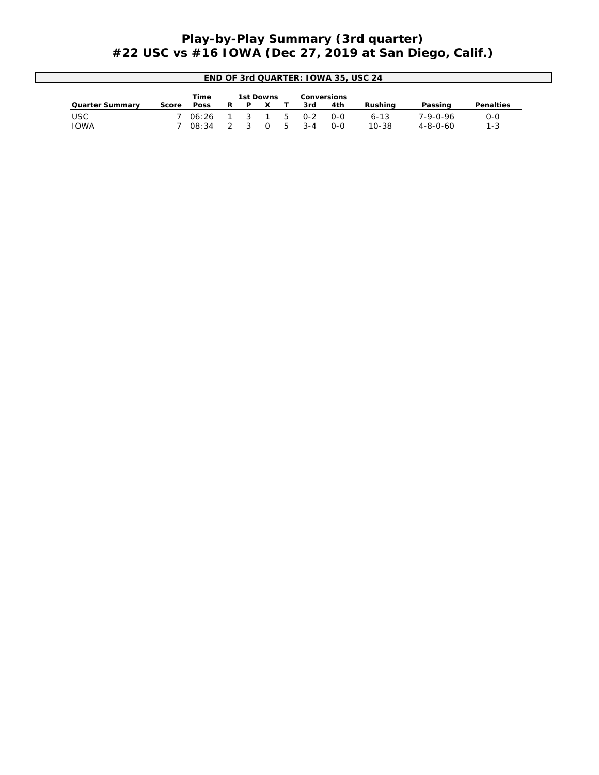## **Play-by-Play Summary (3rd quarter) #22 USC vs #16 IOWA (Dec 27, 2019 at San Diego, Calif.)**

| END OF 3rd QUARTER: 10WA 35, USC 24 |       |       |   |           |  |    |         |             |           |          |                  |
|-------------------------------------|-------|-------|---|-----------|--|----|---------|-------------|-----------|----------|------------------|
|                                     |       | Time  |   | 1st Downs |  |    |         | Conversions |           |          |                  |
| Quarter Summary                     | Score | Poss  | R | D         |  |    | 3rd     | 4th         | Rushina   | Passing  | <b>Penalties</b> |
| USC                                 |       | 06:26 |   |           |  | .C | $O - 2$ | $O-O$       | $6 - 13$  | 7-9-0-96 | $0 - 0$          |
| IOWA                                |       | 08:34 |   |           |  |    | $3 - 4$ | $O-O$       | $10 - 38$ | 4-8-0-60 | $1 - 3$          |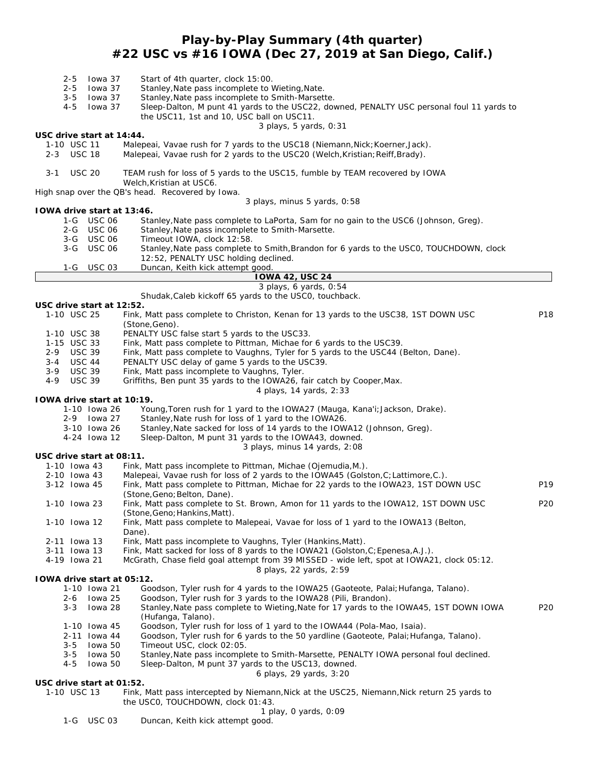## **Play-by-Play Summary (4th quarter) #22 USC vs #16 IOWA (Dec 27, 2019 at San Diego, Calif.)**

|            | $2 - 5$<br>$2 - 5$<br>$3 - 5$ | lowa 37<br>lowa 37<br>lowa 37              | Start of 4th quarter, clock 15:00.<br>Stanley, Nate pass incomplete to Wieting, Nate.<br>Stanley, Nate pass incomplete to Smith-Marsette.                               |                 |
|------------|-------------------------------|--------------------------------------------|-------------------------------------------------------------------------------------------------------------------------------------------------------------------------|-----------------|
|            | 4-5                           | lowa 37                                    | Sleep-Dalton, M punt 41 yards to the USC22, downed, PENALTY USC personal foul 11 yards to<br>the USC11, 1st and 10, USC ball on USC11.<br>3 plays, 5 yards, 0:31        |                 |
|            |                               | USC drive start at 14:44.                  |                                                                                                                                                                         |                 |
|            | 1-10 USC 11<br>2-3 USC 18     |                                            | Malepeai, Vavae rush for 7 yards to the USC18 (Niemann, Nick; Koerner, Jack).<br>Malepeai, Vavae rush for 2 yards to the USC20 (Welch, Kristian; Reiff, Brady).         |                 |
| $3 - 1$    | <b>USC 20</b>                 |                                            | TEAM rush for loss of 5 yards to the USC15, fumble by TEAM recovered by IOWA<br>Welch, Kristian at USC6.                                                                |                 |
|            |                               |                                            | High snap over the OB's head. Recovered by Iowa.<br>3 plays, minus 5 yards, 0:58                                                                                        |                 |
|            |                               | IOWA drive start at 13:46.                 |                                                                                                                                                                         |                 |
|            |                               | 1-G USC 06                                 | Stanley, Nate pass complete to LaPorta, Sam for no gain to the USC6 (Johnson, Greg).                                                                                    |                 |
|            |                               | 2-G USC 06                                 | Stanley, Nate pass incomplete to Smith-Marsette.                                                                                                                        |                 |
|            | 3-G                           | 3-G USC 06<br><b>USC 06</b>                | Timeout IOWA, clock 12:58.<br>Stanley, Nate pass complete to Smith, Brandon for 6 yards to the USCO, TOUCHDOWN, clock<br>12:52, PENALTY USC holding declined.           |                 |
|            | 1-G                           | USC 03                                     | Duncan, Keith kick attempt good.                                                                                                                                        |                 |
|            |                               |                                            | <b>IOWA 42, USC 24</b>                                                                                                                                                  |                 |
|            |                               |                                            | 3 plays, 6 yards, 0:54                                                                                                                                                  |                 |
|            |                               | USC drive start at 12:52.                  | Shudak, Caleb kickoff 65 yards to the USCO, touchback.                                                                                                                  |                 |
|            | 1-10 USC 25                   |                                            | Fink, Matt pass complete to Christon, Kenan for 13 yards to the USC38, 1ST DOWN USC<br>(Stone, Geno).                                                                   | P18             |
|            | 1-10 USC 38                   |                                            | PENALTY USC false start 5 yards to the USC33.                                                                                                                           |                 |
|            | 1-15 USC 33                   |                                            | Fink, Matt pass complete to Pittman, Michae for 6 yards to the USC39.                                                                                                   |                 |
| 2-9<br>3-4 | <b>USC 39</b><br>USC 44       |                                            | Fink, Matt pass complete to Vaughns, Tyler for 5 yards to the USC44 (Belton, Dane).<br>PENALTY USC delay of game 5 yards to the USC39.                                  |                 |
| $3-9$      | <b>USC 39</b>                 |                                            | Fink, Matt pass incomplete to Vaughns, Tyler.                                                                                                                           |                 |
| $4 - 9$    | <b>USC 39</b>                 |                                            | Griffiths, Ben punt 35 yards to the IOWA26, fair catch by Cooper, Max.                                                                                                  |                 |
|            |                               |                                            | 4 plays, 14 yards, 2:33                                                                                                                                                 |                 |
|            |                               |                                            | IOWA drive start at 10:19.                                                                                                                                              |                 |
|            |                               | 1-10 Iowa 26<br>2-9 Iowa 27                | Young, Toren rush for 1 yard to the IOWA27 (Mauga, Kana'i; Jackson, Drake).<br>Stanley, Nate rush for loss of 1 yard to the IOWA26.                                     |                 |
|            |                               | 3-10 Iowa 26                               | Stanley, Nate sacked for loss of 14 yards to the IOWA12 (Johnson, Greg).                                                                                                |                 |
|            |                               | 4-24 Iowa 12                               | Sleep-Dalton, M punt 31 yards to the IOWA43, downed.                                                                                                                    |                 |
|            |                               |                                            | 3 plays, minus 14 yards, 2:08                                                                                                                                           |                 |
|            |                               | USC drive start at 08:11.                  |                                                                                                                                                                         |                 |
|            | 1-10 Iowa 43<br>2-10 Iowa 43  |                                            | Fink, Matt pass incomplete to Pittman, Michae (Ojemudia, M.).<br>Malepeai, Vavae rush for loss of 2 yards to the IOWA45 (Golston, C; Lattimore, C.).                    |                 |
|            | 3-12 Iowa 45                  |                                            | Fink, Matt pass complete to Pittman, Michae for 22 yards to the IOWA23, 1ST DOWN USC                                                                                    | P <sub>19</sub> |
|            |                               |                                            | (Stone, Geno; Belton, Dane).                                                                                                                                            |                 |
|            | 1-10 Iowa 23                  |                                            | Fink, Matt pass complete to St. Brown, Amon for 11 yards to the IOWA12, 1ST DOWN USC<br>(Stone, Geno; Hankins, Matt).                                                   | P <sub>20</sub> |
|            | 1-10 Iowa 12                  |                                            | Fink, Matt pass complete to Malepeai, Vavae for loss of 1 yard to the IOWA13 (Belton,                                                                                   |                 |
|            | 2-11 Iowa 13                  |                                            | Dane).<br>Fink, Matt pass incomplete to Vaughns, Tyler (Hankins, Matt).                                                                                                 |                 |
|            | 3-11 Iowa 13                  |                                            | Fink, Matt sacked for loss of 8 yards to the IOWA21 (Golston, C; Epenesa, A.J.).                                                                                        |                 |
|            | 4-19 Iowa 21                  |                                            | McGrath, Chase field goal attempt from 39 MISSED - wide left, spot at IOWA21, clock 05:12.                                                                              |                 |
|            |                               |                                            | 8 plays, 22 yards, 2:59                                                                                                                                                 |                 |
|            |                               | TOWA drive start at 05:12.<br>1-10 Iowa 21 | Goodson, Tyler rush for 4 yards to the IOWA25 (Gaoteote, Palai; Hufanga, Talano).                                                                                       |                 |
|            | 2-6                           | lowa 25                                    | Goodson, Tyler rush for 3 yards to the IOWA28 (Pili, Brandon).                                                                                                          |                 |
|            | 3-3                           | lowa 28                                    | Stanley, Nate pass complete to Wieting, Nate for 17 yards to the IOWA45, 1ST DOWN IOWA<br>(Hufanga, Talano).                                                            | P <sub>20</sub> |
|            |                               | 1-10 Iowa 45                               | Goodson, Tyler rush for loss of 1 yard to the IOWA44 (Pola-Mao, Isaia).                                                                                                 |                 |
|            |                               | 2-11 Iowa 44                               | Goodson, Tyler rush for 6 yards to the 50 yardline (Gaoteote, Palai; Hufanga, Talano).                                                                                  |                 |
|            | 3-5                           | lowa 50                                    | Timeout USC, clock 02:05.                                                                                                                                               |                 |
|            | $3 - 5$<br>$4 - 5$            | lowa 50<br>lowa 50                         | Stanley, Nate pass incomplete to Smith-Marsette, PENALTY IOWA personal foul declined.<br>Sleep-Dalton, M punt 37 yards to the USC13, downed.<br>6 plays, 29 yards, 3:20 |                 |
|            |                               | USC drive start at 01:52.                  |                                                                                                                                                                         |                 |
|            | 1-10 USC 13                   |                                            | Fink, Matt pass intercepted by Niemann, Nick at the USC25, Niemann, Nick return 25 yards to<br>the USCO, TOUCHDOWN, clock 01:43.                                        |                 |
|            |                               |                                            | 1 play, 0 yards, 0:09                                                                                                                                                   |                 |

1-G USC 03 Duncan, Keith kick attempt good.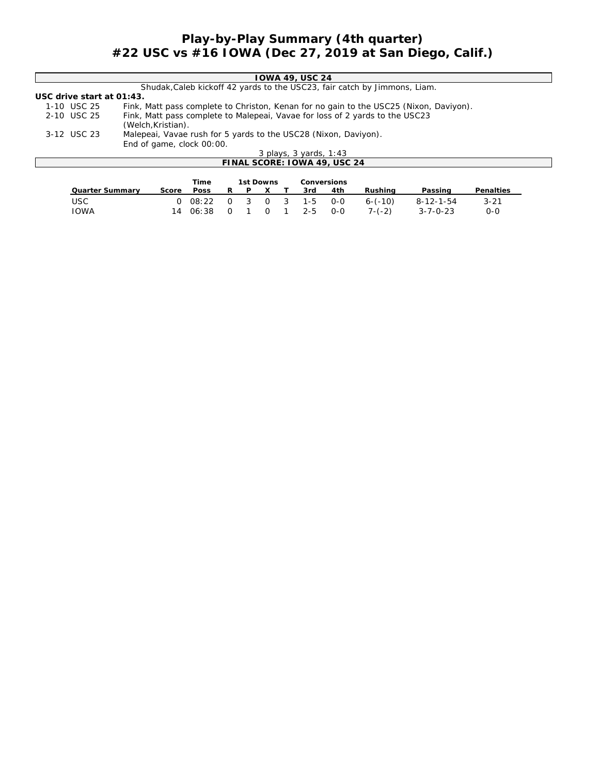## **Play-by-Play Summary (4th quarter) #22 USC vs #16 IOWA (Dec 27, 2019 at San Diego, Calif.)**

|                              | IOWA 49, USC 24                                                                        |  |  |  |  |  |  |  |  |  |
|------------------------------|----------------------------------------------------------------------------------------|--|--|--|--|--|--|--|--|--|
|                              | Shudak, Caleb kickoff 42 yards to the USC23, fair catch by Jimmons, Liam.              |  |  |  |  |  |  |  |  |  |
| USC drive start at $01:43$ . |                                                                                        |  |  |  |  |  |  |  |  |  |
| 1-10 USC 25                  | Fink, Matt pass complete to Christon, Kenan for no gain to the USC25 (Nixon, Daviyon). |  |  |  |  |  |  |  |  |  |
| 2-10 USC 25                  | Fink, Matt pass complete to Malepeai, Vavae for loss of 2 yards to the USC23           |  |  |  |  |  |  |  |  |  |
|                              | (Welch, Kristian).                                                                     |  |  |  |  |  |  |  |  |  |
| 3-12 USC 23                  | Malepeai, Vavae rush for 5 yards to the USC28 (Nixon, Daviyon).                        |  |  |  |  |  |  |  |  |  |
|                              | End of game, clock 00:00.                                                              |  |  |  |  |  |  |  |  |  |
|                              | 3 plays, 3 yards, 1:43                                                                 |  |  |  |  |  |  |  |  |  |
|                              | FINAL SCORE: IOWA 49, USC 24                                                           |  |  |  |  |  |  |  |  |  |
|                              |                                                                                        |  |  |  |  |  |  |  |  |  |
|                              | Conversions<br>Time<br>1st Downs                                                       |  |  |  |  |  |  |  |  |  |
| Quarter Summary              | Penalties<br>4th<br>Rushing<br>3rd<br>Passing<br>Poss<br>R<br>P<br>X<br>Score          |  |  |  |  |  |  |  |  |  |

USC 0 08:22 0 3 0 3 1-5 0-0 6-(-10) 8-12-1-54 3-21 IOWA 14 06:38 0 1 0 1 2-5 0-0 7-(-2) 3-7-0-23 0-0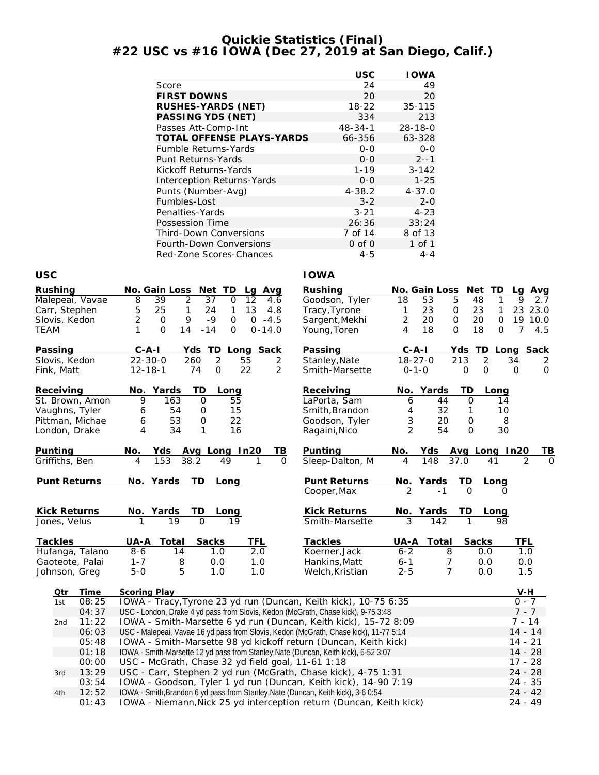## **Quickie Statistics (Final) #22 USC vs #16 IOWA (Dec 27, 2019 at San Diego, Calif.)**

|                     |                                                                  | <b>USC</b>                 | <b>IOWA</b>            |                             |                       |
|---------------------|------------------------------------------------------------------|----------------------------|------------------------|-----------------------------|-----------------------|
|                     | Score                                                            | 24                         | 49                     |                             |                       |
|                     | <b>FIRST DOWNS</b>                                               | 20                         | 20                     |                             |                       |
|                     | RUSHES-YARDS (NET)                                               | 18-22                      | 35-115                 |                             |                       |
|                     | PASSING YDS (NET)                                                | 334                        | 213                    |                             |                       |
|                     | Passes Att-Comp-Int                                              | $48 - 34 - 1$              | $28 - 18 - 0$          |                             |                       |
|                     | TOTAL OFFENSE PLAYS-YARDS                                        | 66-356                     | 63-328                 |                             |                       |
|                     | Fumble Returns-Yards                                             | $0 - 0$                    | $O-O$                  |                             |                       |
|                     | Punt Returns-Yards                                               | $0 - 0$                    | $2 - -1$               |                             |                       |
|                     | Kickoff Returns-Yards                                            | $1 - 19$                   | $3 - 142$              |                             |                       |
|                     | <b>Interception Returns-Yards</b>                                | $O - O$                    | $1 - 25$               |                             |                       |
|                     | Punts (Number-Avg)                                               | $4 - 38.2$                 | $4 - 37.0$             |                             |                       |
|                     | Fumbles-Lost                                                     | $3 - 2$                    | $2 - 0$                |                             |                       |
|                     | Penalties-Yards                                                  | $3 - 21$                   | $4 - 23$               |                             |                       |
|                     | Possession Time                                                  | 26:36                      | 33:24                  |                             |                       |
|                     | <b>Third-Down Conversions</b>                                    | 7 of 14                    | 8 of 13                |                             |                       |
|                     | Fourth-Down Conversions                                          | $0$ of $0$                 | 1 of 1                 |                             |                       |
|                     | Red-Zone Scores-Chances                                          | $4 - 5$                    | $4 - 4$                |                             |                       |
|                     |                                                                  |                            |                        |                             |                       |
| <b>USC</b>          |                                                                  | <b>IOWA</b>                |                        |                             |                       |
| Rushing             | No. Gain Loss<br>Net TD<br>Lg Avg                                | Rushing                    | No. Gain Loss          | Net TD                      | Lq<br>Avg             |
| Malepeai, Vavae     | 39<br>8<br>2<br>37<br>$\mathcal{O}$<br>12<br>4.6                 | Goodson, Tyler             | 18<br>53               | 5<br>48<br>1                | 2.7<br>9              |
| Carr, Stephen       | 5<br>25<br>$\mathbf{1}$<br>24<br>13<br>1<br>4.8                  | Tracy, Tyrone              | $\mathbf{1}$<br>23     | 0<br>23<br>1                | 23 23.0               |
| Slovis, Kedon       | $\overline{2}$<br>$\mathbf 0$<br>9<br>$-9$<br>$0 - 4.5$<br>0     | Sargent, Mekhi             | $\overline{2}$<br>20   | $\mathbf 0$<br>20<br>0      | 19 10.0               |
| <b>TEAM</b>         | 1<br>O<br>14<br>$-14$<br>0<br>$0 - 14.0$                         | Young, Toren               | 4<br>18                | $\overline{O}$<br>18<br>0   | $\overline{7}$<br>4.5 |
| Passing             | $C - A - I$<br>TD<br>Long Sack<br>Yds                            | Passing                    | C-A-I                  | Yds<br>TD.                  | Long Sack             |
| Slovis, Kedon       | $22 - 30 - 0$<br>$\overline{2}$<br>260<br>55<br>2                | Stanley, Nate              | 18-27-0                | $\overline{2}$<br>213       | 34<br>2               |
| Fink, Matt          | $\mathsf{O}$<br>22<br>$\overline{2}$<br>$12 - 18 - 1$<br>74      | Smith-Marsette             | $0 - 1 - 0$            | $\mathbf 0$<br>$\mathbf{O}$ | $\mathbf{O}$<br>0     |
|                     |                                                                  |                            |                        |                             |                       |
| Receiving           | Yards<br><b>TD</b><br>No.<br>Long                                | Receiving                  | Yards<br>No.           | TD<br>Long                  |                       |
| St. Brown, Amon     | 9<br>163<br>0<br>55                                              | LaPorta, Sam               | 6<br>44                | 0<br>14                     |                       |
| Vaughns, Tyler      | 54<br>15<br>6<br>0                                               | Smith, Brandon             | 32<br>4                | $\mathbf{1}$<br>10          |                       |
| Pittman, Michae     | 53<br>22<br>6<br>0                                               | Goodson, Tyler             | 3<br>20                | 8<br>0                      |                       |
| London, Drake       | 4<br>34<br>$\mathbf{1}$<br>16                                    | Ragaini, Nico              | $\overline{2}$<br>54   | $\Omega$<br>30              |                       |
|                     |                                                                  |                            |                        |                             |                       |
| Punting             | No.<br>Avg Long In20<br>ΤВ<br>Yds<br>38.2<br>49<br>$\Omega$<br>4 | Punting<br>Sleep-Dalton, M | No.<br>Yds<br>148<br>4 | Avg Long In20<br>37.0<br>41 | TВ                    |
| Griffiths, Ben      | 153                                                              |                            |                        |                             |                       |
| <b>Punt Returns</b> | <u>No. Yards</u><br>TD.<br>Long                                  | <b>Punt Returns</b>        | <u>No. Yards</u>       | <u>TD</u><br>Long           |                       |
|                     |                                                                  | Cooper, Max                | $-1$                   |                             |                       |
|                     |                                                                  |                            |                        |                             |                       |
| Kick Returns        | No. Yards<br>TD<br>Long                                          | Kick Returns               | No. Yards              | TD<br>Long                  |                       |
| Jones, Velus        | 19<br>1<br>$\Omega$<br>19                                        | Smith-Marsette             | 3<br>142               | 1<br>98                     |                       |
| Tackles             | TFL<br>UA-A<br>Total<br>Sacks                                    | Tackles                    | UA-A<br>Total          | Sacks                       | TFL                   |
| Hufanga, Talano     | 2.0<br>$8 - 6$<br>1.0<br>14                                      | Koerner, Jack              | $6 - 2$                | 8<br>0.0                    | 1.0                   |
| Gaoteote, Palai     | $1 - 7$<br>8<br>0.0<br>1.0                                       | Hankins, Matt              | $6 - 1$                | 7<br>0.0                    | 0.0                   |
| Johnson, Greg       | $5 - 0$<br>5<br>1.0<br>1.0                                       | Welch, Kristian            | $2 - 5$                | $\overline{7}$<br>0.0       | 1.5                   |

| Otr | Time  | Scoring Play                                                                          | V-H       |
|-----|-------|---------------------------------------------------------------------------------------|-----------|
| 1st | 08:25 | IOWA - Tracy, Tyrone 23 yd run (Duncan, Keith kick), 10-75 6:35                       | $0 - 7$   |
|     | 04:37 | USC - London, Drake 4 yd pass from Slovis, Kedon (McGrath, Chase kick), 9-75 3:48     | $7 - 7$   |
| 2nd | 11:22 | IOWA - Smith-Marsette 6 yd run (Duncan, Keith kick), 15-72 8:09                       | 7 - 14    |
|     | 06:03 | USC - Malepeai, Vavae 16 yd pass from Slovis, Kedon (McGrath, Chase kick), 11-77 5:14 | $14 - 14$ |
|     | 05:48 | IOWA - Smith-Marsette 98 yd kickoff return (Duncan, Keith kick)                       | $14 - 21$ |
|     | 01:18 | IOWA - Smith-Marsette 12 yd pass from Stanley, Nate (Duncan, Keith kick), 6-52 3:07   | $14 - 28$ |
|     | 00:00 | USC - McGrath, Chase 32 yd field goal, 11-61 1:18                                     | 17 - 28   |
| 3rd | 13:29 | USC - Carr, Stephen 2 yd run (McGrath, Chase kick), 4-75 1:31                         | $24 - 28$ |
|     | 03:54 | IOWA - Goodson, Tyler 1 yd run (Duncan, Keith kick), 14-90 7:19                       | 24 - 35   |
| 4th | 12:52 | IOWA - Smith, Brandon 6 yd pass from Stanley, Nate (Duncan, Keith kick), 3-6 0:54     | $24 - 42$ |
|     | 01:43 | IOWA - Niemann, Nick 25 yd interception return (Duncan, Keith kick)                   | 24 - 49   |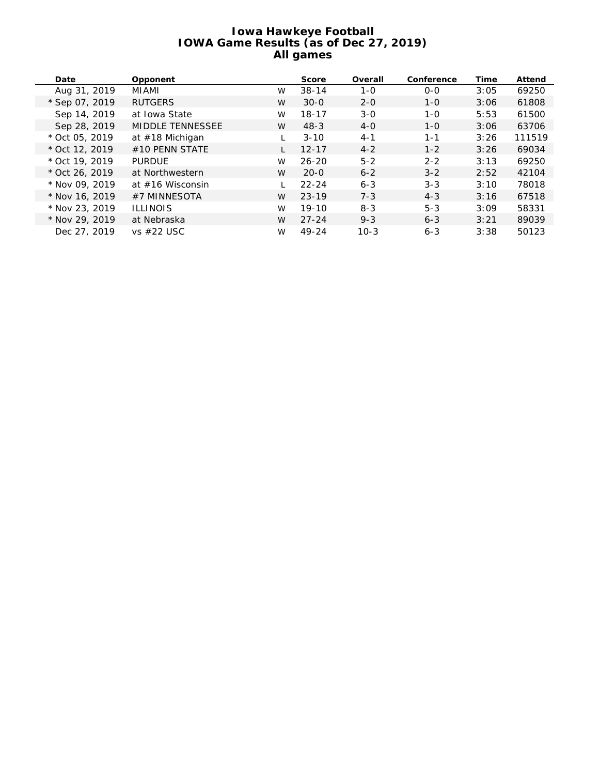#### **Iowa Hawkeye Football IOWA Game Results (as of Dec 27, 2019) All games**

| Date             | Opponent                |   | Score     | Overall | Conference | Time | Attend |
|------------------|-------------------------|---|-----------|---------|------------|------|--------|
| Aug 31, 2019     | MIAMI                   | W | $38 - 14$ | $1 - 0$ | $O-O$      | 3:05 | 69250  |
| * Sep 07, 2019   | <b>RUTGERS</b>          | W | $30 - 0$  | $2 - 0$ | $1 - 0$    | 3:06 | 61808  |
| Sep 14, 2019     | at Iowa State           | W | $18 - 17$ | $3-0$   | $1 - 0$    | 5:53 | 61500  |
| Sep 28, 2019     | <b>MIDDLE TENNESSEE</b> | W | $48 - 3$  | $4-0$   | $1 - 0$    | 3:06 | 63706  |
| $*$ Oct 05, 2019 | at #18 Michigan         |   | $3 - 10$  | $4 - 1$ | $1 - 1$    | 3:26 | 111519 |
| * Oct 12, 2019   | $#10$ PENN STATE        |   | $12 - 17$ | $4 - 2$ | $1 - 2$    | 3:26 | 69034  |
| $*$ Oct 19, 2019 | <b>PURDUE</b>           | W | $26 - 20$ | $5 - 2$ | $2 - 2$    | 3:13 | 69250  |
| * Oct 26, 2019   | at Northwestern         | W | $20 - 0$  | $6 - 2$ | $3 - 2$    | 2:52 | 42104  |
| * Nov 09, 2019   | at $#16$ Wisconsin      |   | $22 - 24$ | $6 - 3$ | $3 - 3$    | 3:10 | 78018  |
| * Nov 16, 2019   | #7 MINNESOTA            | W | $23 - 19$ | $7 - 3$ | $4 - 3$    | 3:16 | 67518  |
| * Nov 23, 2019   | <b>ILLINOIS</b>         | W | $19-10$   | $8 - 3$ | $5 - 3$    | 3:09 | 58331  |
| * Nov 29, 2019   | at Nebraska             | W | $27 - 24$ | $9 - 3$ | $6 - 3$    | 3:21 | 89039  |
| Dec 27, 2019     | vs $#22$ USC            | W | 49-24     | $10-3$  | $6 - 3$    | 3:38 | 50123  |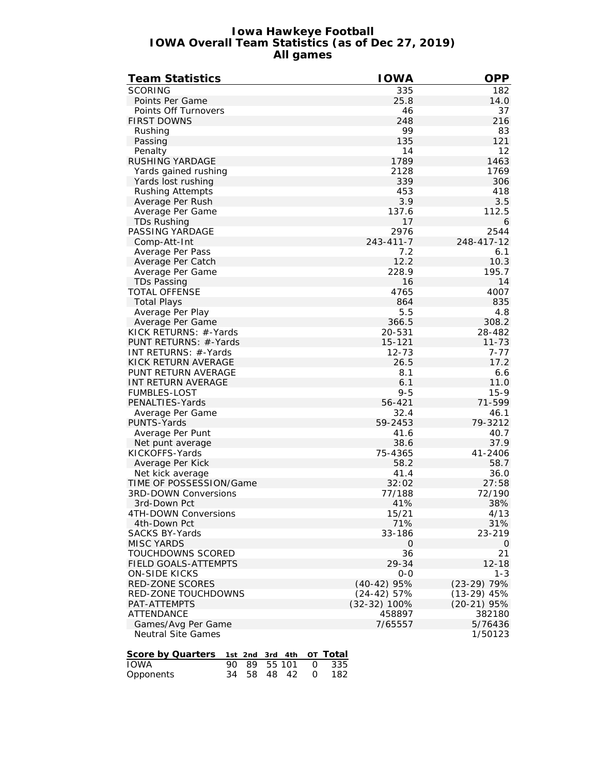#### **Iowa Hawkeye Football IOWA Overall Team Statistics (as of Dec 27, 2019) All games**

| <b>Team Statistics</b>                           | <b>IOWA</b>   | <b>OPP</b>    |
|--------------------------------------------------|---------------|---------------|
| <b>SCORING</b>                                   | 335           | 182           |
| Points Per Game                                  | 25.8          | 14.0          |
| Points Off Turnovers                             | 46            | 37            |
| <b>FIRST DOWNS</b>                               | 248           | 216           |
| Rushing                                          | 99            | 83            |
| Passing                                          | 135           | 121           |
| Penalty                                          | 14            | 12            |
| <b>RUSHING YARDAGE</b>                           | 1789          | 1463          |
| Yards gained rushing                             | 2128          | 1769          |
| Yards lost rushing                               | 339           | 306           |
| <b>Rushing Attempts</b>                          | 453           | 418           |
| Average Per Rush                                 | 3.9           | 3.5           |
| Average Per Game                                 | 137.6         | 112.5         |
|                                                  | 17            |               |
| TDs Rushing                                      | 2976          | 6<br>2544     |
| PASSING YARDAGE                                  | 243-411-7     |               |
| Comp-Att-Int                                     |               | 248-417-12    |
| Average Per Pass                                 | 7.2           | 6.1           |
| Average Per Catch                                | 12.2          | 10.3          |
| Average Per Game                                 | 228.9         | 195.7         |
| <b>TDs Passing</b>                               | 16            | 14            |
| <b>TOTAL OFFENSE</b>                             | 4765          | 4007          |
| <b>Total Plays</b>                               | 864           | 835           |
| Average Per Play                                 | 5.5           | 4.8           |
| Average Per Game                                 | 366.5         | 308.2         |
| KICK RETURNS: #-Yards                            | 20-531        | 28-482        |
| PUNT RETURNS: #-Yards                            | 15-121        | $11 - 73$     |
| INT RETURNS: #-Yards                             | $12 - 73$     | 7-77          |
| KICK RETURN AVERAGE                              | 26.5          | 17.2          |
| PUNT RETURN AVERAGE                              | 8.1           | 6.6           |
| INT RETURN AVERAGE                               | 6.1           | 11.0          |
| <b>FUMBLES-LOST</b>                              | $9 - 5$       | $15-9$        |
| PENALTIES-Yards                                  | 56-421        | 71-599        |
| Average Per Game                                 | 32.4          | 46.1          |
| PUNTS-Yards                                      | 59-2453       | 79-3212       |
| Average Per Punt                                 | 41.6          | 40.7          |
| Net punt average                                 | 38.6          | 37.9          |
| KICKOFFS-Yards                                   | 75-4365       | 41-2406       |
| Average Per Kick                                 | 58.2          | 58.7          |
| Net kick average                                 | 41.4          | 36.0          |
| TIME OF POSSESSION/Game                          | 32:02         | 27:58         |
| 3RD-DOWN Conversions                             | 77/188        | 72/190        |
| 3rd-Down Pct                                     | 41%           | 38%           |
| 4TH-DOWN Conversions                             | 15/21         | 4/13          |
| 4th-Down Pct                                     | 71%           | 31%           |
| <b>SACKS BY-Yards</b>                            | 33-186        | 23-219        |
| <b>MISC YARDS</b>                                | 0             | $\mathbf{O}$  |
| TOUCHDOWNS SCORED                                | 36            | 21            |
| <b>FIELD GOALS-ATTEMPTS</b>                      | 29-34         | $12 - 18$     |
| <b>ON-SIDE KICKS</b>                             | $O-O$         | $1 - 3$       |
| RED-ZONE SCORES                                  | $(40-42)$ 95% | $(23-29)$ 79% |
| RED-ZONE TOUCHDOWNS                              | $(24-42)$ 57% | $(13-29)$ 45% |
| PAT-ATTEMPTS                                     | (32-32) 100%  | $(20-21)$ 95% |
| ATTENDANCE                                       | 458897        | 382180        |
| Games/Avg Per Game                               | 7/65557       | 5/76436       |
| <b>Neutral Site Games</b>                        |               | 1/50123       |
|                                                  |               |               |
| Score by Quarters<br>от Total<br>1st 2nd 3rd 4th |               |               |
| <b>IOWA</b><br>90<br>89<br>55 101<br>0<br>335    |               |               |
| 34<br>58<br>48 42<br>182<br>Opponents<br>0       |               |               |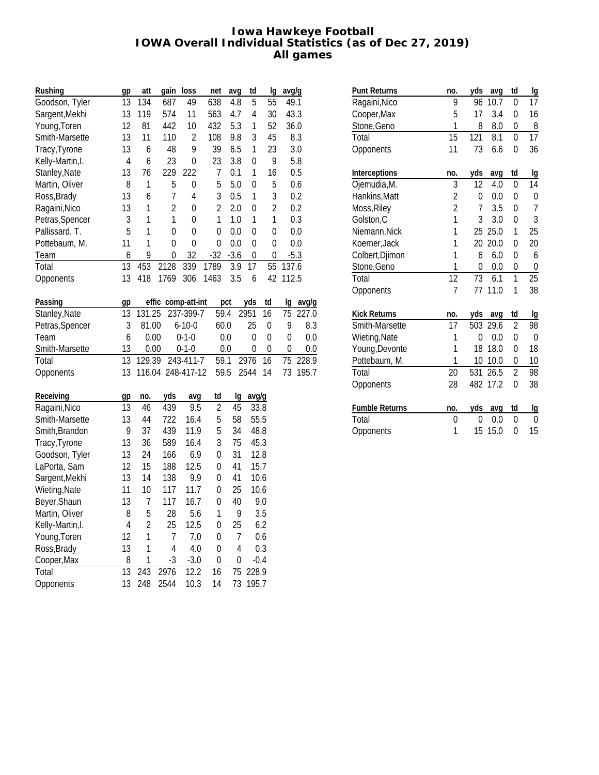#### **Iowa Hawkeye Football IOWA Overall Individual Statistics (as of Dec 27, 2019) All games**

| Rushing          | gp             | att            | gain               | loss             | net            | avg            | td             | lg             | avg/g     |        |
|------------------|----------------|----------------|--------------------|------------------|----------------|----------------|----------------|----------------|-----------|--------|
| Goodson, Tyler   | 13             | 134            | 687                | 49               | 638            | 4.8            | 5              | 55             | 49.1      |        |
| Sargent, Mekhi   | 13             | 119            | 574                | 11               | 563            | 4.7            | 4              | 30             | 43.3      |        |
| Young, Toren     | 12             | 81             | 442                | 10               | 432            | 5.3            | 1              | 52             | 36.0      |        |
| Smith-Marsette   | 13             | 11             | 110                | $\overline{2}$   | 108            | 9.8            | 3              | 45             |           | 8.3    |
| Tracy, Tyrone    | 13             | 6              | 48                 | 9                | 39             | 6.5            | $\mathbf{1}$   | 23             |           | 3.0    |
| Kelly-Martin, I. | $\overline{4}$ | 6              | 23                 | $\mathbf 0$      | 23             | 3.8            | $\mathbf 0$    | 9              |           | 5.8    |
| Stanley, Nate    | 13             | 76             | 229                | 222              | 7              | 0.1            | 1              | 16             |           | 0.5    |
| Martin, Oliver   | 8              | 1              | 5                  | $\boldsymbol{0}$ | 5              | 5.0            | $\mathbf 0$    | 5              |           | 0.6    |
| Ross, Brady      | 13             | 6              | 7                  | $\overline{4}$   | 3              | 0.5            | 1              | 3              |           | 0.2    |
| Ragaini, Nico    | 13             | 1              | $\overline{c}$     | 0                | $\overline{2}$ | 2.0            | $\mathbf 0$    | $\overline{c}$ |           | 0.2    |
| Petras, Spencer  | 3              | $\mathbf{1}$   | 1                  | $\mathbf 0$      | 1              | 1.0            | $\mathbf{1}$   | 1              |           | 0.3    |
| Pallissard, T.   | 5              | 1              | $\mathbf 0$        | $\mathbf 0$      | $\mathbf 0$    | 0.0            | $\overline{0}$ | $\pmb{0}$      |           | 0.0    |
| Pottebaum, M.    | 11             | 1              | $\mathbf 0$        | $\mathbf 0$      | $\mathbf 0$    | 0.0            | $\mathbf 0$    | $\pmb{0}$      |           | 0.0    |
| Team             | 6              | 9              | 0                  | 32               | $-32$          | $-3.6$         | 0              | 0              |           | $-5.3$ |
| Total            | 13             | 453            | 2128               | 339              | 1789           | 3.9            | 17             | 55             | 137.6     |        |
| Opponents        | 13             | 418            | 1769               | 306              | 1463           | 3.5            | 6              | 42             | 112.5     |        |
| Passing          | gp             |                | effic comp-att-int |                  |                | pct            | yds            | td             | Ig        | avg/g  |
| Stanley, Nate    | 13             | 131.25         |                    | 237-399-7        | 59.4           |                | 2951           | 16             | 75        | 227.0  |
| Petras, Spencer  | 3              | 81.00          |                    | $6 - 10 - 0$     | 60.0           |                | 25             | $\mathbf 0$    | 9         | 8.3    |
| Team             | 6              | 0.00           |                    | $0 - 1 - 0$      |                | 0.0            | $\overline{0}$ | $\mathbf 0$    | $\pmb{0}$ | 0.0    |
| Smith-Marsette   | 13             | 0.00           |                    | $0 - 1 - 0$      |                | 0.0            | 0              | 0              | 0         | 0.0    |
| Total            | 13             | 129.39         |                    | 243-411-7        | 59.1           |                | 2976           | 16             | 75        | 228.9  |
| Opponents        | 13             |                | 116.04 248-417-12  |                  | 59.5           |                | 2544           | 14             | 73        | 195.7  |
| Receiving        | gp             | no.            | yds                | avg              | td             | lg             | avg/g          |                |           |        |
| Ragaini, Nico    | 13             | 46             | 439                | 9.5              | $\overline{2}$ | 45             | 33.8           |                |           |        |
| Smith-Marsette   | 13             | 44             | 722                | 16.4             | 5              | 58             | 55.5           |                |           |        |
| Smith, Brandon   | 9              | 37             | 439                | 11.9             | 5              | 34             | 48.8           |                |           |        |
| Tracy, Tyrone    | 13             | 36             | 589                | 16.4             | 3              | 75             | 45.3           |                |           |        |
| Goodson, Tyler   | 13             | 24             | 166                | 6.9              | 0              | 31             | 12.8           |                |           |        |
| LaPorta, Sam     | 12             | 15             | 188                | 12.5             | 0              | 41             | 15.7           |                |           |        |
| Sargent, Mekhi   | 13             | 14             | 138                | 9.9              | 0              | 41             | 10.6           |                |           |        |
| Wieting, Nate    | 11             | 10             | 117                | 11.7             | 0              | 25             | 10.6           |                |           |        |
| Beyer, Shaun     | 13             | $\overline{1}$ | 117                | 16.7             | $\mathbf 0$    | 40             |                | 9.0            |           |        |
| Martin, Oliver   | 8              | 5              | 28                 | 5.6              | $\mathbf{1}$   | 9              |                | 3.5            |           |        |
| Kelly-Martin, I. | 4              | $\overline{2}$ | 25                 | 12.5             | 0              | 25             |                | 6.2            |           |        |
| Young, Toren     | 12             | $\mathbf{1}$   | 7                  | 7.0              | 0              | 7              |                | 0.6            |           |        |
| Ross, Brady      | 13             | $\mathbf{1}$   | $\overline{4}$     | 4.0              | 0              | $\overline{4}$ |                | 0.3            |           |        |
| Cooper, Max      | 8              | 1              | $-3$               | $-3.0$           | 0              | 0              |                | $-0.4$         |           |        |
| Total            | 13             | 243            | 2976               | 12.2             | 16             | 75             | 228.9          |                |           |        |
| Opponents        | 13             | 248            | 2544               | 10.3             | 14             | 73             | 195.7          |                |           |        |

| <b>Punt Returns</b>   | no.            | yds      | avq  | td             | lg              |
|-----------------------|----------------|----------|------|----------------|-----------------|
| Ragaini, Nico         | 9              | 96       | 10.7 | 0              | 17              |
| Cooper, Max           | 5              | 17       | 3.4  | 0              | 16              |
| Stone, Geno           | 1              | 8        | 8.0  | 0              | 8               |
| Total                 | 15             | 121      | 8.1  | 0              | $1\overline{7}$ |
| Opponents             | 11             | 73       | 6.6  | 0              | 36              |
| Interceptions         | no.            | yds      | avq  | td             | lg              |
| Ojemudia, M.          | 3              | 12       | 4.0  | 0              | 14              |
| Hankins, Matt         | $\overline{c}$ | 0        | 0.0  | 0              | 0               |
| Moss, Riley           | $\overline{c}$ | 7        | 3.5  | 0              | 7               |
| Golston, C            | $\overline{1}$ | 3        | 3.0  | 0              | 3               |
| Niemann, Nick         | 1              | 25       | 25.0 | 1              | 25              |
| Koerner, Jack         | 1              | 20       | 20.0 | 0              | 20              |
| Colbert, Djimon       | 1              | 6        | 6.0  | 0              | 6               |
| Stone, Geno           | 1              | $\Omega$ | 0.0  | 0              | 0               |
| Total                 | 12             | 73       | 6.1  | 1              | 25              |
| Opponents             | 7              | 77       | 11.0 | 1              | 38              |
|                       |                |          |      |                |                 |
| <b>Kick Returns</b>   | no.            | yds      | avq  | td             | lg              |
| Smith-Marsette        | 17             | 503      | 29.6 | 2              | 98              |
| Wieting, Nate         | 1              | 0        | 0.0  | 0              | $\Omega$        |
| Young, Devonte        | 1              | 18       | 18.0 | 0              | 18              |
| Pottebaum, M.         | 1              | 10       | 10.0 | 0              | 10              |
| Total                 | 20             | 531      | 26.5 | $\overline{2}$ | 98              |
| Opponents             | 28             | 482      | 17.2 | 0              | 38              |
| <b>Fumble Returns</b> | no.            | yds      | avq  | td             | lg              |
| Total                 | 0              | 0        | 0.0  | 0              | 0               |
| Opponents             | 1              | 15       | 15.0 | 0              | 15              |
|                       |                |          |      |                |                 |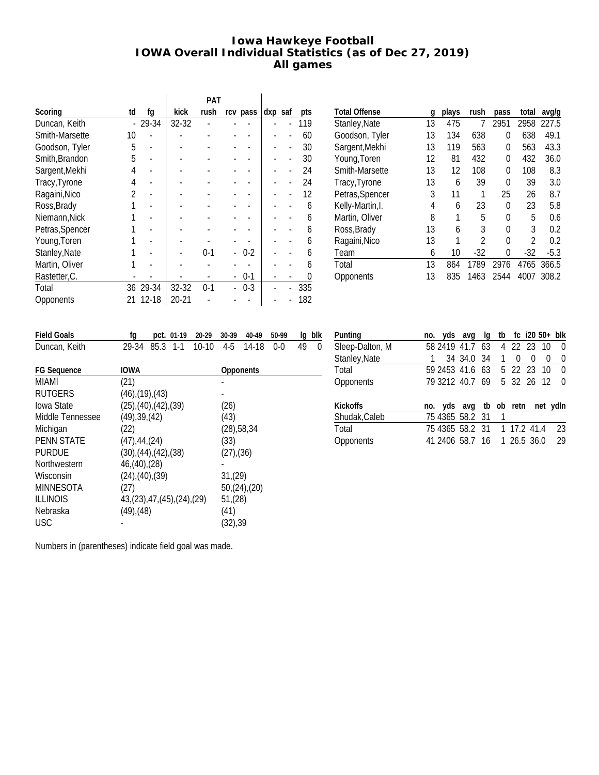#### **Iowa Hawkeye Football IOWA Overall Individual Statistics (as of Dec 27, 2019) All games**

|                 |    |          |       | <b>PAT</b> |          |         |                  |
|-----------------|----|----------|-------|------------|----------|---------|------------------|
| Scoring         | td | fq       | kick  | rush       | rcv pass | dxp saf | pts              |
| Duncan, Keith   |    | 29-34    | 32-32 |            |          |         | 119              |
| Smith-Marsette  | 10 |          |       |            |          |         | 60               |
| Goodson, Tyler  | 5  |          |       |            |          |         | 30               |
| Smith, Brandon  | 5  |          |       |            |          |         | 30               |
| Sargent, Mekhi  | 4  |          |       |            |          |         | 24               |
| Tracy, Tyrone   | 4  |          |       |            |          |         | 24               |
| Ragaini, Nico   | 2  |          |       |            |          |         | 12               |
| Ross, Brady     |    |          |       |            |          |         | 6                |
| Niemann, Nick   |    |          |       |            |          |         | 6                |
| Petras, Spencer |    |          |       |            |          |         | 6                |
| Young, Toren    |    |          |       |            |          |         | 6                |
| Stanley, Nate   |    |          |       | $0-1$      | 0-2      |         | 6                |
| Martin, Oliver  |    |          |       |            |          |         | 6                |
| Rastetter, C.   |    |          |       |            | $0-1$    |         | $\left( \right)$ |
| Total           |    | 36 29-34 | 32-32 | $0-1$      | $0 - 3$  |         | 335              |
| Opponents       | 21 | 12-18    | 20-21 |            |          |         | 182              |
|                 |    |          |       |            |          |         |                  |

| <b>Total Offense</b> | q  | plays | rush           | pass | total | avg/g  |
|----------------------|----|-------|----------------|------|-------|--------|
| Stanley, Nate        | 13 | 475   | 7              | 2951 | 2958  | 227.5  |
| Goodson, Tyler       | 13 | 134   | 638            | 0    | 638   | 49.1   |
| Sargent, Mekhi       | 13 | 119   | 563            | 0    | 563   | 43.3   |
| Young, Toren         | 12 | 81    | 432            | 0    | 432   | 36.0   |
| Smith-Marsette       | 13 | 12    | 108            | 0    | 108   | 8.3    |
| Tracy, Tyrone        | 13 | 6     | 39             | 0    | 39    | 3.0    |
| Petras, Spencer      | 3  | 11    | 1              | 25   | 26    | 8.7    |
| Kelly-Martin, I.     | 4  | 6     | 23             | 0    | 23    | 5.8    |
| Martin, Oliver       | 8  | 1     | 5              | 0    | 5     | 0.6    |
| Ross, Brady          | 13 | 6     | 3              | 0    | 3     | 0.2    |
| Ragaini, Nico        | 13 | 1     | $\mathfrak{p}$ | 0    | 2     | 0.2    |
| Team                 | 6  | 10    | -32            | 0    | -32   | $-5.3$ |
| Total                | 13 | 864   | 1789           | 2976 | 4765  | 366.5  |
| Opponents            | 13 | 835   | 1463           | 2544 | 4007  | 308.2  |
|                      |    |       |                |      |       |        |

| <b>Field Goals</b> | fg                       | pct. 01-19                        | 20-29   | 30-39                      | 40-49        | 50-99   | Ig | blk      |
|--------------------|--------------------------|-----------------------------------|---------|----------------------------|--------------|---------|----|----------|
| Duncan, Keith      | 29-34                    | $85.3$ 1-1                        | $10-10$ | 4-5                        | 14-18        | $0 - 0$ | 49 | $\theta$ |
|                    |                          |                                   |         |                            |              |         |    |          |
| <b>FG Sequence</b> | <b>IOWA</b>              |                                   |         |                            | Opponents    |         |    |          |
| MIAMI              | (21)                     |                                   |         |                            |              |         |    |          |
| <b>RUTGERS</b>     | $(46)$ , $(19)$ , $(43)$ |                                   |         |                            |              |         |    |          |
| Iowa State         |                          | $(25)$ , $(40)$ , $(42)$ , $(39)$ |         | (26)                       |              |         |    |          |
| Middle Tennessee   | (49), 39, (42)           |                                   |         | (43)                       |              |         |    |          |
| Michigan           | (22)                     |                                   |         | (28), 58, 34               |              |         |    |          |
| <b>PENN STATE</b>  | $(47)$ , 44, $(24)$      |                                   |         | (33)                       |              |         |    |          |
| <b>PURDUE</b>      |                          | (30),(44),(42),(38)               |         | $(27)$ <sub>,</sub> $(36)$ |              |         |    |          |
| Northwestern       | 46,(40),(28)             |                                   |         |                            |              |         |    |          |
| Wisconsin          | $(24)$ , $(40)$ , $(39)$ |                                   |         | 31,(29)                    |              |         |    |          |
| <b>MINNESOTA</b>   | (27)                     |                                   |         |                            | 50,(24),(20) |         |    |          |
| <b>ILLINOIS</b>    |                          | 43,(23),47,(45),(24),(29)         |         | 51,(28)                    |              |         |    |          |
| Nebraska           | $(49)$ , $(48)$          |                                   |         | (41)                       |              |         |    |          |
| <b>USC</b>         |                          |                                   |         | (32), 39                   |              |         |    |          |
|                    |                          |                                   |         |                            |              |         |    |          |

| Punting         | no. | yds                         | avg                | la | tb | fc i20 50+ blk |   |   |              |
|-----------------|-----|-----------------------------|--------------------|----|----|----------------|---|---|--------------|
| Sleep-Dalton, M |     | 58 2419 41.7 63 4 22 23 10  |                    |    |    |                |   |   | U            |
| Stanley, Nate   |     |                             | 34 34 0 34         |    | 1  | 0              | 0 | 0 | 0            |
| Total           |     | 59 2453 41.6 63             |                    |    |    | 5 22 23 10     |   |   | U            |
| Opponents       |     | 79 3212 40.7 69             |                    |    |    | 5 32 26 12     |   |   | <sup>0</sup> |
|                 |     |                             |                    |    |    |                |   |   |              |
| <b>Kickoffs</b> | no. |                             | yds avg tb ob retn |    |    |                |   |   | net ydln     |
| Shudak, Caleb   |     | 75 4365 58.2 31             |                    |    | 1  |                |   |   |              |
| Total           |     | 75 4365 58.2 31 1 17.2 41.4 |                    |    |    |                |   |   | 23           |
| Opponents       |     | 41 2406 58.7 16             |                    |    |    | 1 26.5 36.0    |   |   | 29           |
|                 |     |                             |                    |    |    |                |   |   |              |

Numbers in (parentheses) indicate field goal was made.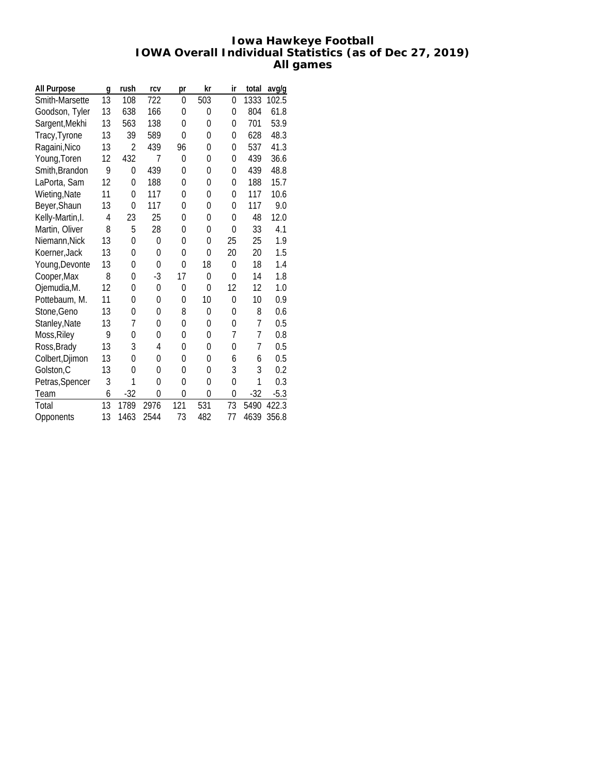#### **Iowa Hawkeye Football IOWA Overall Individual Statistics (as of Dec 27, 2019) All games**

| All Purpose      | g  | rush           | rcv            | pr             | kr             | ir             | total          | avg/g  |
|------------------|----|----------------|----------------|----------------|----------------|----------------|----------------|--------|
| Smith-Marsette   | 13 | 108            | 722            | 0              | 503            | $\mathbf{0}$   | 1333           | 102.5  |
| Goodson, Tyler   | 13 | 638            | 166            | 0              | 0              | 0              | 804            | 61.8   |
| Sargent, Mekhi   | 13 | 563            | 138            | 0              | $\mathbf{0}$   | 0              | 701            | 53.9   |
| Tracy, Tyrone    | 13 | 39             | 589            | 0              | $\mathbf{0}$   | 0              | 628            | 48.3   |
| Ragaini, Nico    | 13 | 2              | 439            | 96             | 0              | 0              | 537            | 41.3   |
| Young, Toren     | 12 | 432            | 7              | 0              | 0              | 0              | 439            | 36.6   |
| Smith, Brandon   | 9  | $\overline{0}$ | 439            | 0              | $\mathbf{0}$   | 0              | 439            | 48.8   |
| LaPorta, Sam     | 12 | $\Omega$       | 188            | $\overline{0}$ | 0              | 0              | 188            | 15.7   |
| Wieting, Nate    | 11 | $\mathbf{0}$   | 117            | 0              | $\mathbf{0}$   | 0              | 117            | 10.6   |
| Beyer, Shaun     | 13 | 0              | 117            | $\Omega$       | 0              | 0              | 117            | 9.0    |
| Kelly-Martin, I. | 4  | 23             | 25             | 0              | 0              | 0              | 48             | 12.0   |
| Martin, Oliver   | 8  | 5              | 28             | 0              | $\mathbf{0}$   | $\mathbf{0}$   | 33             | 4.1    |
| Niemann, Nick    | 13 | $\Omega$       | 0              | $\mathbf 0$    | $\mathbf{0}$   | 25             | 25             | 1.9    |
| Koerner, Jack    | 13 | 0              | 0              | 0              | $\mathbf{0}$   | 20             | 20             | 1.5    |
| Young, Devonte   | 13 | 0              | 0              | 0              | 18             | 0              | 18             | 1.4    |
| Cooper, Max      | 8  | 0              | $-3$           | 17             | $\mathbf{0}$   | 0              | 14             | 1.8    |
| Ojemudia, M.     | 12 | 0              | 0              | 0              | $\mathbf{0}$   | 12             | 12             | 1.0    |
| Pottebaum, M.    | 11 | 0              | 0              | 0              | 10             | 0              | 10             | 0.9    |
| Stone, Geno      | 13 | $\Omega$       | 0              | 8              | 0              | 0              | 8              | 0.6    |
| Stanley, Nate    | 13 | 7              | 0              | 0              | 0              | 0              | $\overline{7}$ | 0.5    |
| Moss, Riley      | 9  | 0              | 0              | 0              | 0              | 7              | 7              | 0.8    |
| Ross, Brady      | 13 | 3              | 4              | 0              | 0              | 0              | 7              | 0.5    |
| Colbert, Djimon  | 13 | $\Omega$       | 0              | 0              | $\mathbf{0}$   | 6              | 6              | 0.5    |
| Golston, C       | 13 | 0              | 0              | 0              | 0              | 3              | 3              | 0.2    |
| Petras, Spencer  | 3  | 1              | $\overline{0}$ | $\overline{0}$ | $\overline{0}$ | $\overline{0}$ | 1              | 0.3    |
| Team             | 6  | $-32$          | 0              | 0              | $\mathbf{0}$   | 0              | $-32$          | $-5.3$ |
| Total            | 13 | 1789           | 2976           | 121            | 531            | 73             | 5490           | 422.3  |
| Opponents        | 13 | 1463           | 2544           | 73             | 482            | 77             | 4639           | 356.8  |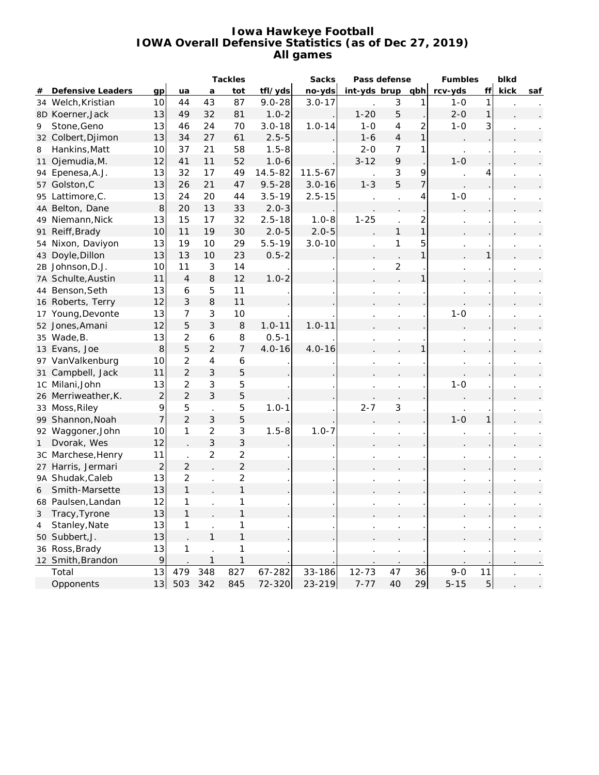#### **Iowa Hawkeye Football IOWA Overall Defensive Statistics (as of Dec 27, 2019) All games**

|    |                     |                          | Tackles        |                          |                  |             | Sacks       | Pass defense |                |                | Fumbles  | blkd           |      |     |
|----|---------------------|--------------------------|----------------|--------------------------|------------------|-------------|-------------|--------------|----------------|----------------|----------|----------------|------|-----|
| #  | Defensive Leaders   | qp                       | ua             | a                        | tot              | tfl/yds     | no-yds      | int-yds brup |                | qbh            | rcv-yds  | ff             | kick | saf |
|    | 34 Welch, Kristian  | 10                       | 44             | 43                       | 87               | $9.0 - 28$  | $3.0 - 17$  |              | 3              | 1              | $1-0$    | 1              |      |     |
|    | 8D Koerner, Jack    | 13                       | 49             | 32                       | 81               | $1.0 - 2$   |             | $1 - 20$     | 5              |                | $2 - 0$  | 1              |      |     |
| 9  | Stone, Geno         | 13                       | 46             | 24                       | 70               | $3.0 - 18$  | $1.0 - 14$  | $1 - 0$      | $\overline{4}$ | $\overline{c}$ | $1-0$    | 3              |      |     |
|    | 32 Colbert, Djimon  | 13                       | 34             | 27                       | 61               | $2.5 - 5$   |             | $1 - 6$      | $\overline{4}$ | 1              |          |                |      |     |
| 8  | Hankins, Matt       | 10                       | 37             | 21                       | 58               | $1.5 - 8$   |             | $2 - 0$      | $\overline{7}$ | 1              |          |                |      |     |
|    | 11 Ojemudia, M.     | 12                       | 41             | 11                       | 52               | $1.0 - 6$   |             | $3 - 12$     | $\mathsf q$    |                | $1 - 0$  |                |      |     |
|    | 94 Epenesa, A.J.    | 13                       | 32             | 17                       | 49               | $14.5 - 82$ | $11.5 - 67$ |              | 3              | 9              |          |                |      |     |
|    | 57 Golston, C       | 13                       | 26             | 21                       | 47               | $9.5 - 28$  | $3.0 - 16$  | $1 - 3$      | 5              | $\overline{7}$ |          |                |      |     |
|    | 95 Lattimore, C.    | 13                       | 24             | 20                       | 44               | $3.5 - 19$  | $2.5 - 15$  |              |                | 4              | $1 - 0$  |                |      |     |
|    | 4A Belton, Dane     | $\boldsymbol{8}$         | 20             | 13                       | 33               | $2.0 - 3$   |             |              |                |                |          |                |      |     |
|    | 49 Niemann, Nick    | 13                       | 15             | 17                       | 32               | $2.5 - 18$  | $1.0 - 8$   | $1 - 25$     |                | $\overline{c}$ |          |                |      |     |
|    | 91 Reiff, Brady     | 10                       | 11             | 19                       | 30               | $2.0 - 5$   | $2.0 - 5$   |              | $\mathbf{1}$   | $\mathbf{1}$   |          |                |      |     |
|    | 54 Nixon, Daviyon   | 13                       | 19             | 10                       | 29               | $5.5 - 19$  | $3.0 - 10$  |              | 1              | 5              |          |                |      |     |
|    | 43 Doyle, Dillon    | 13                       | 13             | 10                       | 23               | $0.5 - 2$   |             |              |                | 1              |          |                |      |     |
|    | 2B Johnson, D.J.    | 10                       | 11             | 3                        | 14               |             |             |              | $\overline{c}$ |                |          |                |      |     |
|    | 7A Schulte, Austin  | 11                       | $\overline{4}$ | 8                        | 12               | $1.0 - 2$   |             |              |                | 1              |          |                |      |     |
|    | 44 Benson, Seth     | 13                       | 6              | 5                        | 11               |             |             |              |                |                |          |                |      |     |
|    | 16 Roberts, Terry   | 12                       | $\sqrt{3}$     | 8                        | 11               |             |             |              |                |                |          |                |      |     |
|    | 17 Young, Devonte   | 13                       | $\overline{7}$ | 3                        | 10               |             |             |              |                |                | $1 - 0$  |                |      |     |
|    | 52 Jones, Amani     | 12                       | $\mathbf 5$    | 3                        | 8                | $1.0 - 11$  | $1.0 - 11$  |              |                |                |          |                |      |     |
|    | 35 Wade, B.         | 13                       | $\overline{2}$ | $\boldsymbol{6}$         | 8                | $0.5 - 1$   |             |              |                |                |          |                |      |     |
|    | 13 Evans, Joe       | $\,8\,$                  | 5              | $\overline{2}$           | 7                | $4.0 - 16$  | $4.0 - 16$  |              |                |                |          |                |      |     |
|    | 97 VanValkenburg    | 10                       | $\overline{2}$ | $\overline{\mathcal{L}}$ | $\boldsymbol{6}$ |             |             |              |                |                |          |                |      |     |
| 31 | Campbell, Jack      | 11                       | $\overline{2}$ | 3                        | 5                |             |             |              |                |                |          |                |      |     |
|    | 1C Milani, John     | 13                       | $\overline{2}$ | 3                        | 5                |             |             |              |                |                | $1 - 0$  |                |      |     |
|    | 26 Merriweather, K. | $\mathbf{2}$             | $\overline{2}$ | 3                        | 5                |             |             |              |                |                |          |                |      |     |
|    | 33 Moss, Riley      | 9                        | 5              | $\overline{a}$           | 5                | $1.0 - 1$   |             | $2 - 7$      | 3              |                |          |                |      |     |
|    | 99 Shannon, Noah    | $\overline{\phantom{a}}$ | $\overline{2}$ | 3                        | 5                |             |             |              |                |                | $1 - 0$  |                |      |     |
|    | 92 Waggoner, John   | 10                       | $\mathbf{1}$   | $\overline{2}$           | 3                | $1.5 - 8$   | $1.0 - 7$   |              |                |                |          |                |      |     |
| 1  | Dvorak, Wes         | 12                       |                | 3                        | 3                |             |             |              |                |                |          |                |      |     |
|    | 3C Marchese, Henry  | 11                       |                | $\overline{2}$           | $\overline{2}$   |             |             |              |                |                |          |                |      |     |
|    | 27 Harris, Jermari  | $\overline{2}$           | $\overline{2}$ |                          | $\overline{2}$   |             |             |              |                |                |          |                |      |     |
|    | 9A Shudak, Caleb    | 13                       | $\overline{2}$ |                          | $\overline{2}$   |             |             |              |                |                |          |                |      |     |
| 6  | Smith-Marsette      | 13                       | $\mathbf{1}$   |                          | $\mathbf{1}$     |             |             |              |                |                |          |                |      |     |
|    | 68 Paulsen, Landan  | 12                       | 1              |                          | 1                |             |             |              |                |                |          |                |      |     |
|    | 3 Tracy, Tyrone     | 13                       | $\mathbf{1}$   |                          |                  |             |             |              |                |                |          |                |      |     |
| 4  | Stanley, Nate       | 13                       | 1              |                          | 1                |             |             |              |                |                |          |                |      |     |
|    | 50 Subbert, J.      | 13                       |                | $\mathbf{1}$             | 1                |             |             |              |                |                |          |                |      |     |
|    | 36 Ross, Brady      | 13                       | 1              |                          | 1                |             |             |              |                |                |          |                |      |     |
|    | 12 Smith, Brandon   | 9                        |                | $\mathbf{1}$             | $\mathbf{1}$     |             |             |              |                |                |          |                |      |     |
|    | Total               | 13                       | 479            | 348                      | 827              | 67-282      | 33-186      | $12 - 73$    | 47             | 36             | $9 - 0$  | 11             |      |     |
|    | Opponents           | 13                       | 503            | 342                      | 845              | 72-320      | 23-219      | $7 - 77$     | 40             | 29             | $5 - 15$ | $\overline{5}$ |      |     |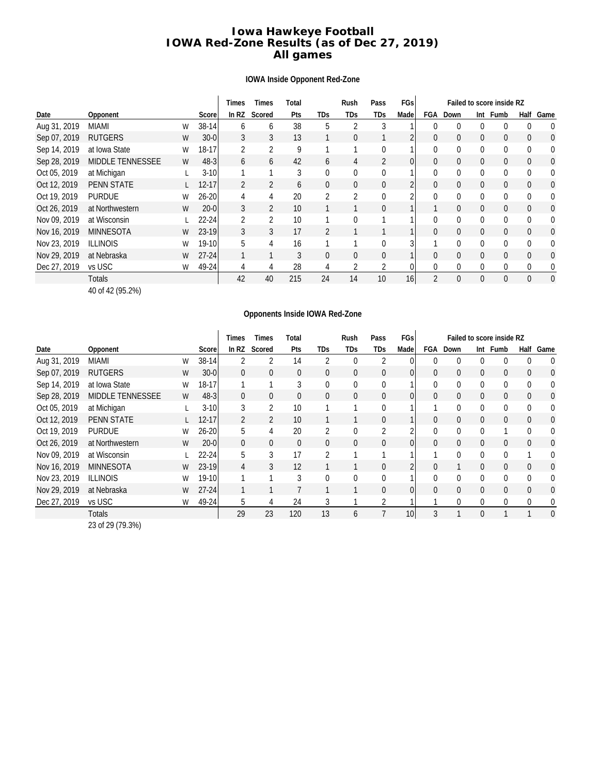#### **Iowa Hawkeye Football IOWA Red-Zone Results (as of Dec 27, 2019) All games**

#### **IOWA Inside Opponent Red-Zone**

|              |                         |   |           | Times   | Times          | Total |                | Rush | Pass           | FGs            | Failed to score inside RZ |              |                |              |              |                |
|--------------|-------------------------|---|-----------|---------|----------------|-------|----------------|------|----------------|----------------|---------------------------|--------------|----------------|--------------|--------------|----------------|
| Date         | Opponent                |   | Score     | In $RZ$ | Scored         | Pts   | TDs            | TDs  | TDs            | Made           | FGA                       | Down         | Int            | Fumb         | Half         | Game           |
| Aug 31, 2019 | <b>MIAMI</b>            | W | $38-14$   | 6       | 6              | 38    | 5              |      | 3              |                | 0                         | $\Omega$     | $\Omega$       | 0            |              | 0              |
| Sep 07, 2019 | <b>RUTGERS</b>          | W | $30 - 0$  | 3       | 3              | 13    |                | 0    |                |                | 0                         | $\mathbf{0}$ | $\mathbf{0}$   | $\Omega$     | $\Omega$     | 0              |
| Sep 14, 2019 | at Iowa State           | W | 18-17     | 2       | $\overline{2}$ | 9     |                |      | $\theta$       |                | 0                         | $\Omega$     | 0              | $\theta$     | $\Omega$     | 0              |
| Sep 28, 2019 | <b>MIDDLE TENNESSEE</b> | W | $48-3$    | 6       | 6              | 42    | 6              | 4    | 2              | $\overline{0}$ | 0                         | $\mathbf{0}$ | $\mathbf{0}$   | 0            | $\mathbf{0}$ | 0              |
| Oct 05, 2019 | at Michigan             |   | $3-10$    |         |                | 3     | 0              | 0    | 0              |                | 0                         | $\mathbf 0$  | 0              | $\theta$     | $\Omega$     | 0              |
| Oct 12, 2019 | <b>PENN STATE</b>       |   | $12 - 17$ | 2       | $\overline{2}$ | 6     | $\overline{0}$ | 0    | $\overline{0}$ | 2              | 0                         | $\mathbf{0}$ | $\overline{0}$ | 0            | $\mathbf{0}$ | 0              |
| Oct 19, 2019 | <b>PURDUE</b>           | W | $26 - 20$ | 4       | 4              | 20    | 2              | 2    | 0              | ኅ              | 0                         | $\mathbf{0}$ | 0              | 0            | $\Omega$     | 0              |
| Oct 26, 2019 | at Northwestern         | W | $20 - 0$  | 3       | $\overline{2}$ | 10    |                |      | 0              |                |                           | $\Omega$     | $\Omega$       | $\Omega$     | $\Omega$     | 0              |
| Nov 09, 2019 | at Wisconsin            |   | $22 - 24$ | 2       | 2              | 10    |                | 0    |                |                | 0                         | $\Omega$     | $\mathbf{0}$   | 0            | $\Omega$     | 0              |
| Nov 16, 2019 | <b>MINNESOTA</b>        | W | 23-19     | 3       | 3              | 17    | 2              |      |                |                | 0                         | $\mathbf{0}$ | $\mathbf{0}$   | $\mathbf{0}$ | $\Omega$     | $\overline{0}$ |
| Nov 23, 2019 | <b>ILLINOIS</b>         | W | $19-10$   | 5       | 4              | 16    |                |      | $\theta$       | 3              |                           | $\Omega$     | $\mathbf{0}$   | $\Omega$     | $\Omega$     | $\Omega$       |
| Nov 29, 2019 | at Nebraska             | W | $27-24$   |         |                | 3     | $\mathbf{0}$   | 0    | $\overline{0}$ |                | $\overline{0}$            | $\mathbf{0}$ | $\overline{0}$ | 0            | $\Omega$     | 0              |
| Dec 27, 2019 | vs USC                  | W | $49 - 24$ | 4       | 4              | 28    | 4              | 2    | 2              | 0              | 0                         | $\mathbf 0$  | 0              | 0            | $\Omega$     | 0              |
|              | Totals                  |   |           | 42      | 40             | 215   | 24             | 14   | 10             | 16             | $\overline{2}$            | $\Omega$     | $\Omega$       | $\theta$     | $\Omega$     | $\Omega$       |

40 of 42 (95.2%)

#### **Opponents Inside IOWA Red-Zone**

|              |                         |   |           | Times        | Times          | Total |            | Rush         | Pass           | FGs             | Failed to score inside RZ |              |                |              |              |      |
|--------------|-------------------------|---|-----------|--------------|----------------|-------|------------|--------------|----------------|-----------------|---------------------------|--------------|----------------|--------------|--------------|------|
| Date         | Opponent                |   | Score     | In RZ        | Scored         | Pts   | <b>TDs</b> | TDs          | <b>TDs</b>     | Made            | FGA                       | Down         | Int            | Fumb         | Half         | Game |
| Aug 31, 2019 | MIAMI                   | W | 38-14     | 2            | 2              | 14    | 2          | $\mathbf 0$  | 2              | 0               |                           | $\mathbf{0}$ | 0              | 0            | $\Omega$     | 0    |
| Sep 07, 2019 | <b>RUTGERS</b>          | W | $30 - 0$  | $\mathbf{0}$ | 0              | 0     | 0          | $\mathbf{0}$ | $\overline{0}$ | $\overline{0}$  | 0                         | $\mathbf{0}$ | $\mathbf{0}$   | $\mathbf{0}$ | $\mathbf{0}$ | 0    |
| Sep 14, 2019 | at Iowa State           | W | $18 - 17$ |              |                | 3     | 0          | $\mathbf 0$  | 0              | 1               | 0                         | $\Omega$     | 0              | $\theta$     | $\Omega$     | 0    |
| Sep 28, 2019 | <b>MIDDLE TENNESSEE</b> | W | $48-3$    | $\mathbf{0}$ | 0              | 0     | 0          | $\mathbf{0}$ | $\overline{0}$ | $\overline{0}$  | 0                         | $\mathbf{0}$ | $\overline{0}$ | $\mathbf{0}$ | $\Omega$     | 0    |
| Oct 05, 2019 | at Michigan             |   | $3-10$    | 3            | $\overline{2}$ | 10    |            |              | 0              |                 |                           | $\Omega$     | 0              | $\theta$     | $\Omega$     | 0    |
| Oct 12, 2019 | <b>PENN STATE</b>       |   | $12 - 17$ | 2            | 2              | 10    |            |              | $\overline{0}$ |                 | 0                         | $\mathbf{0}$ | $\mathbf{0}$   | $\theta$     | $\mathbf{0}$ | 0    |
| Oct 19, 2019 | <b>PURDUE</b>           | W | $26 - 20$ | 5            | $\overline{4}$ | 20    | 2          | $\mathbf 0$  | $\overline{2}$ | 2               | 0                         | $\Omega$     | $\Omega$       |              | $\Omega$     | 0    |
| Oct 26, 2019 | at Northwestern         | W | $20 - 0$  | $\mathbf{0}$ | $\mathbf{0}$   | 0     | 0          | $\mathbf{0}$ | $\mathbf{0}$   | $\overline{0}$  | 0                         | $\Omega$     | $\mathbf{0}$   | $\theta$     | $\Omega$     | 0    |
| Nov 09, 2019 | at Wisconsin            |   | $22 - 24$ | 5            | 3              | 17    | 2          |              |                | 1               |                           | $\mathbf 0$  | 0              | $\theta$     |              | 0    |
| Nov 16, 2019 | <b>MINNESOTA</b>        | W | 23-19     | 4            | 3              | 12    |            |              | 0              | 2               | 0                         |              | $\mathbf{0}$   | $\theta$     | $\mathbf{0}$ | 0    |
| Nov 23, 2019 | <b>ILLINOIS</b>         | W | $19-10$   |              |                | 3     | 0          | $\mathbf{0}$ | $\mathbf{0}$   | 1               | $\mathbf{0}$              | $\Omega$     | $\mathbf{0}$   | $\Omega$     | $\Omega$     | 0    |
| Nov 29, 2019 | at Nebraska             | W | $27 - 24$ |              |                |       |            |              | $\overline{0}$ | $\overline{0}$  | $\overline{0}$            | $\Omega$     | $\mathbf{0}$   | $\theta$     | $\Omega$     | 0    |
| Dec 27, 2019 | vs USC                  | W | 49-24     | 5            | 4              | 24    | 3          |              | $\overline{2}$ |                 |                           | $\Omega$     | 0              | $\theta$     | $\Omega$     | 0    |
|              | Totals                  |   |           | 29           | 23             | 120   | 13         | 6            |                | 10 <sub>1</sub> | 3                         |              | $\mathbf{0}$   |              |              | 0    |

23 of 29 (79.3%)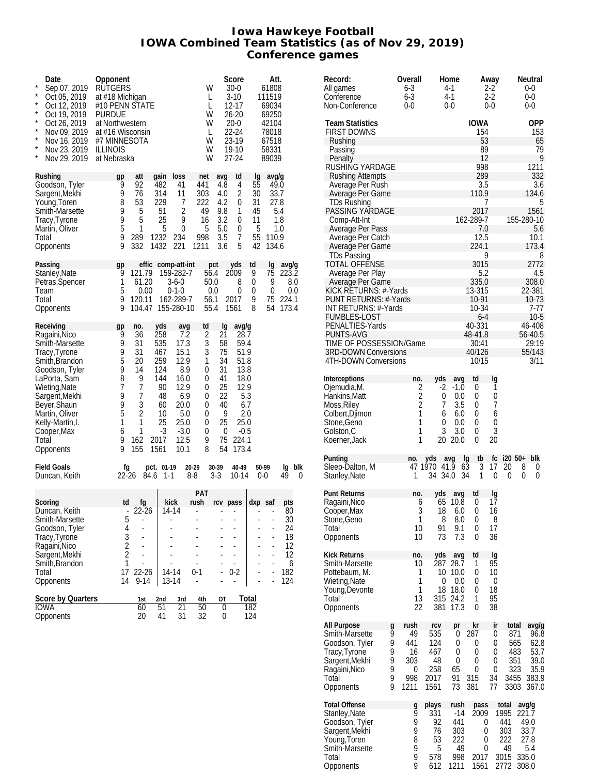#### **Iowa Hawkeye Football IOWA Combined Team Statistics (as of Nov 29, 2019) Conference games**

| Date<br>$\star$<br>Sep 07, 2019<br>$\star$<br>Oct 05, 2019<br>$\star$<br>Oct 12, 2019<br>$\star$<br>Oct 19, 2019<br>$\star$<br>Oct 26, 2019<br>$\star$<br>Nov 09, 2019<br>$\star$<br>Nov 16, 2019<br>$^{\star}$<br>Nov 23, 2019<br>$\star$<br>Nov 29, 2019 | Opponent<br><b>RUTGERS</b><br>at #18 Michigan<br>#10 PENN STATE<br><b>PURDUE</b><br>at Northwestern<br>at #16 Wisconsin<br>#7 MINNESOTA<br><b>ILLINOIS</b><br>at Nebraska |                                                                                                                                                                                                                     |                                                                                                                   | W<br>L<br>L<br>W<br>W<br>L<br>W<br>W<br>W                                | Score<br>30-0<br>$3 - 10$<br>12-17<br>26-20<br>$20-0$<br>22-24<br>23-19<br>19-10<br>$27 - 24$                                                                                                                  |                                                   | Att.<br>61808<br>111519<br>69034<br>69250<br>42104<br>78018<br>67518<br>58331<br>89039 |                                                            |
|------------------------------------------------------------------------------------------------------------------------------------------------------------------------------------------------------------------------------------------------------------|---------------------------------------------------------------------------------------------------------------------------------------------------------------------------|---------------------------------------------------------------------------------------------------------------------------------------------------------------------------------------------------------------------|-------------------------------------------------------------------------------------------------------------------|--------------------------------------------------------------------------|----------------------------------------------------------------------------------------------------------------------------------------------------------------------------------------------------------------|---------------------------------------------------|----------------------------------------------------------------------------------------|------------------------------------------------------------|
| Rushing<br>Goodson, Tyler<br>Sargent, Mekhi<br>Young, Toren<br>Smith-Marsette<br>Tracy, Tyrone<br>Martin, Oliver<br>Total<br>Opponents                                                                                                                     | gp<br>9<br>9<br>8<br>9<br>9<br>5<br>9<br>9                                                                                                                                | att<br>qain<br>92<br>482<br>76<br>314<br>53<br>229<br>51<br>5<br>5<br>25<br>1<br>5<br>289<br>1232<br>332<br>1432                                                                                                    | loss<br>41<br>11<br>7<br>2<br>9<br>0<br>234<br>221                                                                | net<br>441<br>303<br>222<br>49<br>16<br>5<br>998<br>1211                 | avg<br>td<br>4<br>4.8<br>2<br>4.0<br>4.2<br>0<br>9.8<br>1<br>3.2<br>0<br>5.0<br>0<br>3.5<br>7<br>3.6<br>5                                                                                                      | lg<br>55<br>30<br>31<br>45<br>11<br>5<br>55<br>42 | avg/g<br>49.0<br>33.7<br>27.8<br>5.4<br>1.8<br>1.0<br>110.9<br>134.6                   |                                                            |
| Passing<br>Stanley, Nate<br>Petras, Spencer<br>Team<br>Total<br>Opponents                                                                                                                                                                                  | gp<br>9<br>1<br>5<br>9<br>9                                                                                                                                               | effic<br>121.79<br>61.20<br>0.00<br>120.11<br>104.47                                                                                                                                                                | comp-att-int<br>159-282-7<br>$3-6-0$<br>$0 - 1 - 0$<br>162-289-7<br>155-280-10                                    | pct<br>56.4<br>50.0<br>0.0<br>56.1<br>55.4                               | yds<br>2009<br>8<br>0<br>2017<br>1561                                                                                                                                                                          | td<br>9<br>0<br>0<br>9<br>8                       | Ig<br>75<br>9<br>0<br>75<br>54                                                         | avg/g<br>223.2<br>8.0<br>0.0<br>224.1<br>173.4             |
| Receiving<br>Ragaini, Nico<br>Smith-Marsette<br>Tracy, Tyrone<br>Smith, Brandon<br>Goodson, Tyler<br>LaPorta, Sam<br>Wieting, Nate<br>Sargent, Mekhi<br>Beyer, Shaun<br>Martin, Oliver<br>Kelly-Martin, I.<br>Cooper, Max<br>Total<br>Opponents            | gp<br>9<br>9<br>9<br>5<br>9<br>8<br>7<br>9<br>9<br>5<br>1<br>6<br>9<br>9                                                                                                  | no.<br>yds<br>36<br>258<br>31<br>535<br>31<br>467<br>20<br>259<br>14<br>124<br>9<br>144<br>$\overline{7}$<br>90<br>7<br>48<br>3<br>60<br>$\overline{c}$<br>10<br>1<br>25<br>1<br>$-3$<br>162<br>2017<br>155<br>1561 | avg<br>7.2<br>17.3<br>15.1<br>12.9<br>8.9<br>16.0<br>12.9<br>6.9<br>20.0<br>5.0<br>25.0<br>$-3.0$<br>12.5<br>10.1 | td<br>2<br>3<br>3<br>1<br>0<br>0<br>0<br>0<br>0<br>0<br>0<br>0<br>9<br>8 | lg<br>avg/g<br>28.7<br>21<br>58<br>59.4<br>75<br>51.9<br>34<br>51.8<br>31<br>13.8<br>41<br>18.0<br>25<br>12.9<br>22<br>5.3<br>40<br>6.7<br>9<br>2.0<br>25<br>25.0<br>0<br>$-0.5$<br>75<br>224.1<br>54<br>173.4 |                                                   |                                                                                        |                                                            |
| <b>Field Goals</b><br>Duncan, Keith                                                                                                                                                                                                                        | fg<br>22-26                                                                                                                                                               | pct. 01-19<br>84.6                                                                                                                                                                                                  | 20-29<br>$1 - 1$<br>$8 - 8$                                                                                       | 30-39<br>$3-3$                                                           | 40-49<br>$10-14$                                                                                                                                                                                               | 50-99<br>$0-0$                                    |                                                                                        | blk<br>lq<br>49<br>0                                       |
| Scoring<br>Duncan, Keith<br>Smith-Marsette<br>Goodson, Tyler<br>Tracy, Tyrone<br>Ragaini, Nico<br>Sargent, Mekhi<br>Smith, Brandon<br>Total<br>Opponents                                                                                                   | td<br>$\blacksquare$<br>5<br>4<br>3<br>$\overline{c}$<br>$\overline{2}$<br>1<br>17<br>14                                                                                  | fg<br>22-26<br>ä,<br>ä,<br>$22 - 26$<br>$9 - 14$                                                                                                                                                                    | kick<br>14-14<br>14-14<br>13-14                                                                                   | PAT<br>rush<br>$\blacksquare$<br>0-1                                     | rcv pass<br>٠<br>÷,<br>$0 - 2$                                                                                                                                                                                 | dxp saf                                           | ÷,                                                                                     | pts<br>80<br>30<br>24<br>18<br>12<br>12<br>6<br>182<br>124 |
| Score by Quarters<br>IOWA<br>Opponents                                                                                                                                                                                                                     |                                                                                                                                                                           | 1st<br>2nd<br>51<br>60<br>20<br>41                                                                                                                                                                                  | 3rd<br>21<br>31                                                                                                   | 4th<br>50<br>32                                                          | ΟT<br>0<br>0                                                                                                                                                                                                   | Total<br>182<br>124                               |                                                                                        |                                                            |

| Record:<br>All games<br>Conference<br>Non-Conference                                                                 | Overall<br>6-3<br>$6 - 3$<br>0-0                                      |                                                  | Home<br>4-1<br>$4-1$<br>0-0                   |                                             | Away<br>2-2<br>2-2<br>0-0   |                                                  | Neutral<br>0-0<br>0-0<br>$0 - 0$                       |  |  |
|----------------------------------------------------------------------------------------------------------------------|-----------------------------------------------------------------------|--------------------------------------------------|-----------------------------------------------|---------------------------------------------|-----------------------------|--------------------------------------------------|--------------------------------------------------------|--|--|
| <b>Team Statistics</b><br>FIRST DOWNS<br>Rushing<br>Passing                                                          |                                                                       |                                                  |                                               | IOWA<br>154<br>53<br>89                     |                             |                                                  | OPP<br>153<br>65<br>79                                 |  |  |
| Penalty<br>RUSHING YARDAGE<br><b>Rushing Attempts</b><br>Average Per Rush<br>Average Per Game                        |                                                                       |                                                  |                                               | 12<br>998<br>289<br>3.5<br>110.9            |                             |                                                  | 9<br>1211<br>332<br>3.6<br>134.6                       |  |  |
| TDs Rushing<br>PASSING YARDAGE<br>Comp-Att-Int<br>Average Per Pass                                                   |                                                                       |                                                  |                                               | 7<br>2017<br>162-289-7<br>7.0               |                             |                                                  | 5<br>1561<br>155-280-10<br>5.6                         |  |  |
| Average Per Catch<br>Average Per Game<br><b>TDs Passing</b><br><b>TOTAL OFFENSE</b><br>Average Per Play              |                                                                       |                                                  |                                               | 12.5<br>224.1<br>9<br>3015<br>5.2           |                             | 10.1<br>173.4<br>8<br>2772<br>4.5                |                                                        |  |  |
| Average Per Game<br>KICK RETURNS: #-Yards<br>PUNT RETURNS: #-Yards<br>INT RETURNS: #-Yards                           |                                                                       |                                                  |                                               | 335.0<br>13-315<br>10-91<br>10-34           |                             | 308.0<br>22-381<br>10-73<br>7-77                 |                                                        |  |  |
| <b>FUMBLES-LOST</b><br>PENALTIES-Yards<br><b>PUNTS-AVG</b><br>TIME OF POSSESSION/Game<br><b>3RD-DOWN Conversions</b> |                                                                       |                                                  |                                               | 6-4<br>40-331<br>48-41.8<br>30:41<br>40/126 |                             |                                                  | $10-5$<br>46-408<br>56-40.5<br>29:19<br>55/143         |  |  |
| 4TH-DOWN Conversions                                                                                                 |                                                                       |                                                  |                                               | 10/15                                       |                             |                                                  | 3/11                                                   |  |  |
| Interceptions<br>Ojemudia,M.                                                                                         | no.                                                                   | yds<br>2<br>-2                                   | avg<br>$-1.0$                                 | td<br>0                                     | Ig<br>1                     |                                                  |                                                        |  |  |
| Hankins, Matt<br>Moss, Riley                                                                                         |                                                                       | $\frac{2}{2}$<br>0<br>7                          | 0.0<br>3.5                                    | 0<br>0                                      | 0<br>7                      |                                                  |                                                        |  |  |
| Colbert, Djimon                                                                                                      |                                                                       | 1<br>6<br>1                                      | 6.0                                           | 0                                           | 6                           |                                                  |                                                        |  |  |
| Stone, Geno<br>Golston,C<br>Koerner, Jack                                                                            |                                                                       | 0<br>1<br>3<br>1<br>20                           | $0.0\,$<br>3.0<br>20.0                        | 0<br>0<br>0                                 | 0<br>3<br>20                |                                                  |                                                        |  |  |
| Punting<br>Sleep-Dalton, M<br>Stanley, Nate                                                                          | no.<br>1                                                              | yds<br>47 1970 41.9<br>34                        | avg<br>Ig<br>63<br>34.0<br>34                 | tb<br>3<br>1                                | fc<br>17<br>0               | i20 50+<br>20<br>0                               | blk<br>8<br>0<br>0<br>0                                |  |  |
| <b>Punt Returns</b>                                                                                                  | no.                                                                   | yds                                              | avg                                           | td                                          | Ig                          |                                                  |                                                        |  |  |
| Ragaini, Nico<br>Cooper, Max                                                                                         |                                                                       | 65<br>6<br>3                                     | 10.8<br>18  6.0  0                            | 0                                           | 17<br>16                    |                                                  |                                                        |  |  |
| Stone, Geno<br>Total<br>Opponents                                                                                    |                                                                       | 1<br>8<br>10<br>91<br>10<br>73                   | 8.0<br>9.1<br>7.3                             | 0<br>0<br>0                                 | 8<br>17<br>36               |                                                  |                                                        |  |  |
| <b>Kick Returns</b><br>Smith-Marsette                                                                                | no.                                                                   | yds<br>10<br>287                                 | avg<br>28.7                                   | td<br>1                                     | lg<br>95                    |                                                  |                                                        |  |  |
| Pottebaum, M.<br>Wieting, Nate<br>Young, Devonte<br>Total<br>Opponents                                               | 22                                                                    | 1<br>10<br>1<br>0<br>1<br>18<br>13<br>315<br>381 | 10.0<br>0.0<br>18.0<br>24.2<br>17.3           | 0<br>0<br>0<br>1<br>0                       | 10<br>0<br>18<br>95<br>38   |                                                  |                                                        |  |  |
| All Purpose                                                                                                          | rush                                                                  | rcv                                              | pr                                            | kr                                          | ir                          | total                                            | avg/g                                                  |  |  |
| Smith-Marsette<br>Goodson, Tyler<br>Tracy, Tyrone<br>Sargent, Mekhi<br>Ragaini, Nico<br>Total                        | g<br>9<br>49<br>9<br>441<br>9<br>16<br>9<br>303<br>9<br>0<br>9<br>998 | 535<br>124<br>467<br>48<br>258<br>2017           | 0<br>0<br>0<br>0<br>65<br>91                  | 287<br>0<br>0<br>0<br>0<br>315              | 0<br>0<br>0<br>0<br>0<br>34 | 871<br>565<br>483<br>351<br>323<br>3455          | 96.8<br>62.8<br>53.7<br>39.0<br>35.9<br>383.9          |  |  |
| Opponents                                                                                                            | 9<br>1211                                                             | 1561                                             | 73                                            | 381                                         | 77                          | 3303                                             | 367.0                                                  |  |  |
| <b>Total Offense</b><br>Stanley, Nate<br>Goodson, Tyler<br>Sargent, Mekhi<br>Young, Toren<br>Smith-Marsette<br>Total | g<br>9<br>9<br>9<br>8<br>9<br>9                                       | plays<br>331<br>92<br>76<br>53<br>5<br>578       | rush<br>-14<br>441<br>303<br>222<br>49<br>998 | pass<br>2009<br>0<br>0<br>0<br>0<br>2017    |                             | total<br>1995<br>441<br>303<br>222<br>49<br>3015 | avg/g<br>221.7<br>49.0<br>33.7<br>27.8<br>5.4<br>335.0 |  |  |
| Opponents                                                                                                            | 9                                                                     | 612                                              | 1211                                          | 1561                                        |                             | 2772                                             | 308.0                                                  |  |  |